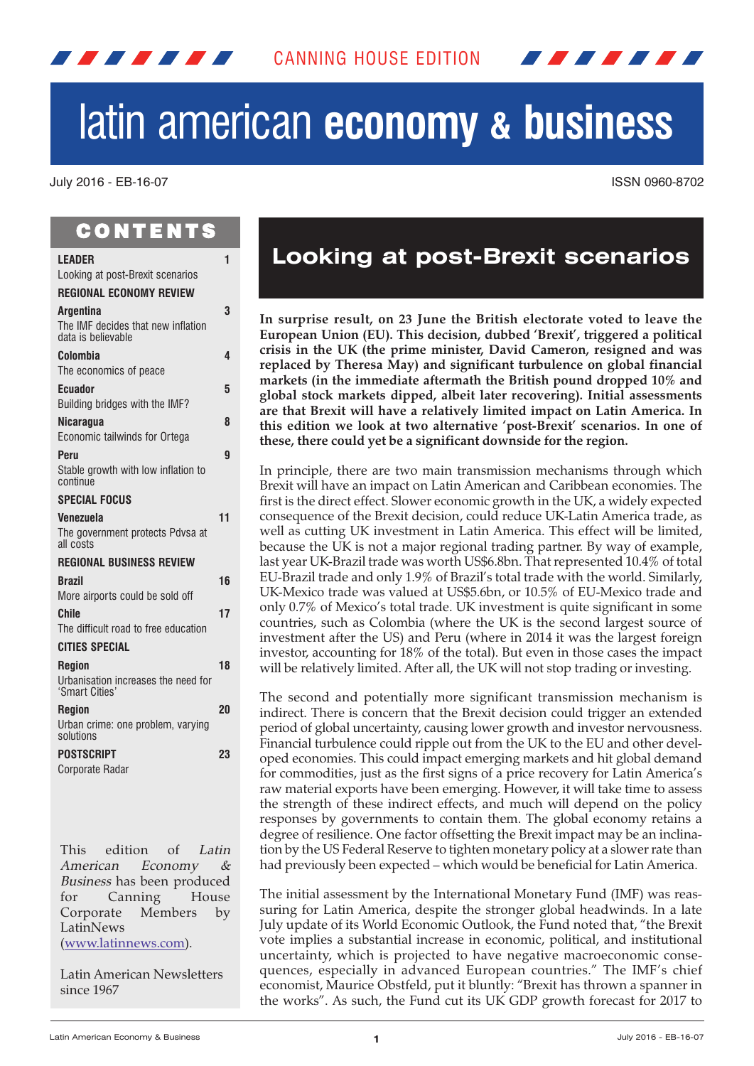# latin american **economy & business**

#### July 2016 - EB-16-07 ISSN 0960-8702

# **CONTENTS**

<span id="page-0-0"></span>*. . . . . . .* 

| <b>LEADER</b>                                                                | 1  |
|------------------------------------------------------------------------------|----|
| Looking at post-Brexit scenarios<br><b>REGIONAL ECONOMY REVIEW</b>           |    |
|                                                                              | 3  |
| <b>Argentina</b><br>The IMF decides that new inflation<br>data is believable |    |
| Colombia                                                                     | 4  |
| The economics of peace                                                       |    |
| <b>Ecuador</b>                                                               | 5  |
| Building bridges with the IMF?                                               |    |
| <b>Nicaragua</b>                                                             | 8  |
| Economic tailwinds for Ortega                                                |    |
| Peru                                                                         | 9  |
| Stable growth with low inflation to<br>continue                              |    |
| <b>SPECIAL FOCUS</b>                                                         |    |
| Venezuela                                                                    | 11 |
| The government protects Pdvsa at<br>all costs                                |    |
| <b>REGIONAL BUSINESS REVIEW</b>                                              |    |
| <b>Brazil</b>                                                                | 16 |
| More airports could be sold off                                              |    |
| <b>Chile</b>                                                                 | 17 |
| The difficult road to free education                                         |    |
| <b>CITIES SPECIAL</b>                                                        |    |
| <b>Region</b>                                                                | 18 |
| Urbanisation increases the need for<br>'Smart Cities'                        |    |
| <b>Region</b>                                                                | 20 |
| Urban crime: one problem, varying<br>solutions                               |    |
| <b>POSTSCRIPT</b>                                                            | 23 |
| Corporate Radar                                                              |    |
|                                                                              |    |

This edition of Latin American Economy & Business has been produced for Canning House Corporate Members by LatinNews

(www.latinnews.com).

Latin American Newsletters since 1967

# **Looking at post-Brexit scenarios**

**In surprise result, on 23 June the British electorate voted to leave the European Union (EU). This decision, dubbed 'Brexit', triggered a political crisis in the UK (the prime minister, David Cameron, resigned and was replaced by Theresa May) and significant turbulence on global financial markets (in the immediate aftermath the British pound dropped 10% and global stock markets dipped, albeit later recovering). Initial assessments are that Brexit will have a relatively limited impact on Latin America. In this edition we look at two alternative 'post-Brexit' scenarios. In one of these, there could yet be a significant downside for the region.**

In principle, there are two main transmission mechanisms through which Brexit will have an impact on Latin American and Caribbean economies. The first is the direct effect. Slower economic growth in the UK, a widely expected consequence of the Brexit decision, could reduce UK-Latin America trade, as well as cutting UK investment in Latin America. This effect will be limited, because the UK is not a major regional trading partner. By way of example, last year UK-Brazil trade was worth US\$6.8bn. That represented 10.4% of total EU-Brazil trade and only 1.9% of Brazil's total trade with the world. Similarly, UK-Mexico trade was valued at US\$5.6bn, or 10.5% of EU-Mexico trade and only 0.7% of Mexico's total trade. UK investment is quite significant in some countries, such as Colombia (where the UK is the second largest source of investment after the US) and Peru (where in 2014 it was the largest foreign investor, accounting for 18% of the total). But even in those cases the impact will be relatively limited. After all, the UK will not stop trading or investing.

The second and potentially more significant transmission mechanism is indirect. There is concern that the Brexit decision could trigger an extended period of global uncertainty, causing lower growth and investor nervousness. Financial turbulence could ripple out from the UK to the EU and other developed economies. This could impact emerging markets and hit global demand for commodities, just as the first signs of a price recovery for Latin America's raw material exports have been emerging. However, it will take time to assess the strength of these indirect effects, and much will depend on the policy responses by governments to contain them. The global economy retains a degree of resilience. One factor offsetting the Brexit impact may be an inclination by the US Federal Reserve to tighten monetary policy at a slower rate than had previously been expected – which would be beneficial for Latin America.

The initial assessment by the International Monetary Fund (IMF) was reassuring for Latin America, despite the stronger global headwinds. In a late July update of its World Economic Outlook, the Fund noted that, "the Brexit vote implies a substantial increase in economic, political, and institutional uncertainty, which is projected to have negative macroeconomic consequences, especially in advanced European countries." The IMF's chief economist, Maurice Obstfeld, put it bluntly: "Brexit has thrown a spanner in the works". As such, the Fund cut its UK GDP growth forecast for 2017 to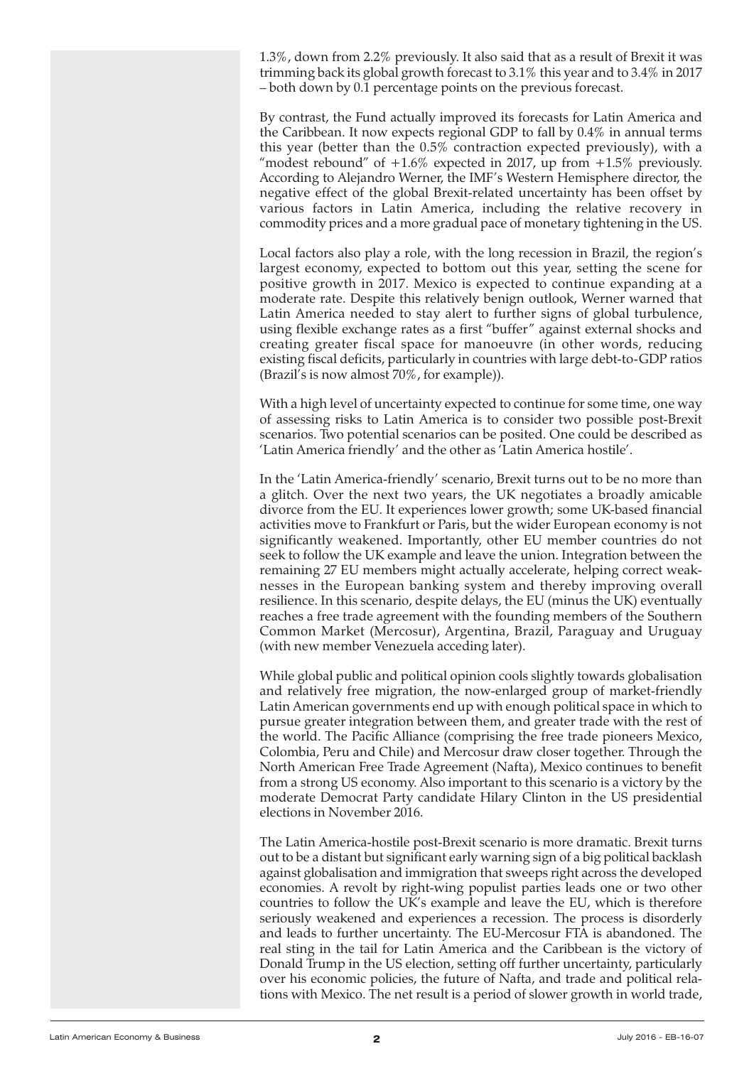1.3%, down from 2.2% previously. It also said that as a result of Brexit it was trimming back its global growth forecast to 3.1% this year and to 3.4% in 2017 – both down by 0.1 percentage points on the previous forecast.

By contrast, the Fund actually improved its forecasts for Latin America and the Caribbean. It now expects regional GDP to fall by 0.4% in annual terms this year (better than the 0.5% contraction expected previously), with a "modest rebound" of  $+1.6\%$  expected in 2017, up from  $+1.5\%$  previously. According to Alejandro Werner, the IMF's Western Hemisphere director, the negative effect of the global Brexit-related uncertainty has been offset by various factors in Latin America, including the relative recovery in commodity prices and a more gradual pace of monetary tightening in the US.

Local factors also play a role, with the long recession in Brazil, the region's largest economy, expected to bottom out this year, setting the scene for positive growth in 2017. Mexico is expected to continue expanding at a moderate rate. Despite this relatively benign outlook, Werner warned that Latin America needed to stay alert to further signs of global turbulence, using flexible exchange rates as a first "buffer" against external shocks and creating greater fiscal space for manoeuvre (in other words, reducing existing fiscal deficits, particularly in countries with large debt-to-GDP ratios (Brazil's is now almost 70%, for example)).

With a high level of uncertainty expected to continue for some time, one way of assessing risks to Latin America is to consider two possible post-Brexit scenarios. Two potential scenarios can be posited. One could be described as 'Latin America friendly' and the other as 'Latin America hostile'.

In the 'Latin America-friendly' scenario, Brexit turns out to be no more than a glitch. Over the next two years, the UK negotiates a broadly amicable divorce from the EU. It experiences lower growth; some UK-based financial activities move to Frankfurt or Paris, but the wider European economy is not significantly weakened. Importantly, other EU member countries do not seek to follow the UK example and leave the union. Integration between the remaining 27 EU members might actually accelerate, helping correct weaknesses in the European banking system and thereby improving overall resilience. In this scenario, despite delays, the EU (minus the UK) eventually reaches a free trade agreement with the founding members of the Southern Common Market (Mercosur), Argentina, Brazil, Paraguay and Uruguay (with new member Venezuela acceding later).

While global public and political opinion cools slightly towards globalisation and relatively free migration, the now-enlarged group of market-friendly Latin American governments end up with enough political space in which to pursue greater integration between them, and greater trade with the rest of the world. The Pacific Alliance (comprising the free trade pioneers Mexico, Colombia, Peru and Chile) and Mercosur draw closer together. Through the North American Free Trade Agreement (Nafta), Mexico continues to benefit from a strong US economy. Also important to this scenario is a victory by the moderate Democrat Party candidate Hilary Clinton in the US presidential elections in November 2016.

The Latin America-hostile post-Brexit scenario is more dramatic. Brexit turns out to be a distant but significant early warning sign of a big political backlash against globalisation and immigration that sweeps right across the developed economies. A revolt by right-wing populist parties leads one or two other countries to follow the UK's example and leave the EU, which is therefore seriously weakened and experiences a recession. The process is disorderly and leads to further uncertainty. The EU-Mercosur FTA is abandoned. The real sting in the tail for Latin America and the Caribbean is the victory of Donald Trump in the US election, setting off further uncertainty, particularly over his economic policies, the future of Nafta, and trade and political relations with Mexico. The net result is a period of slower growth in world trade,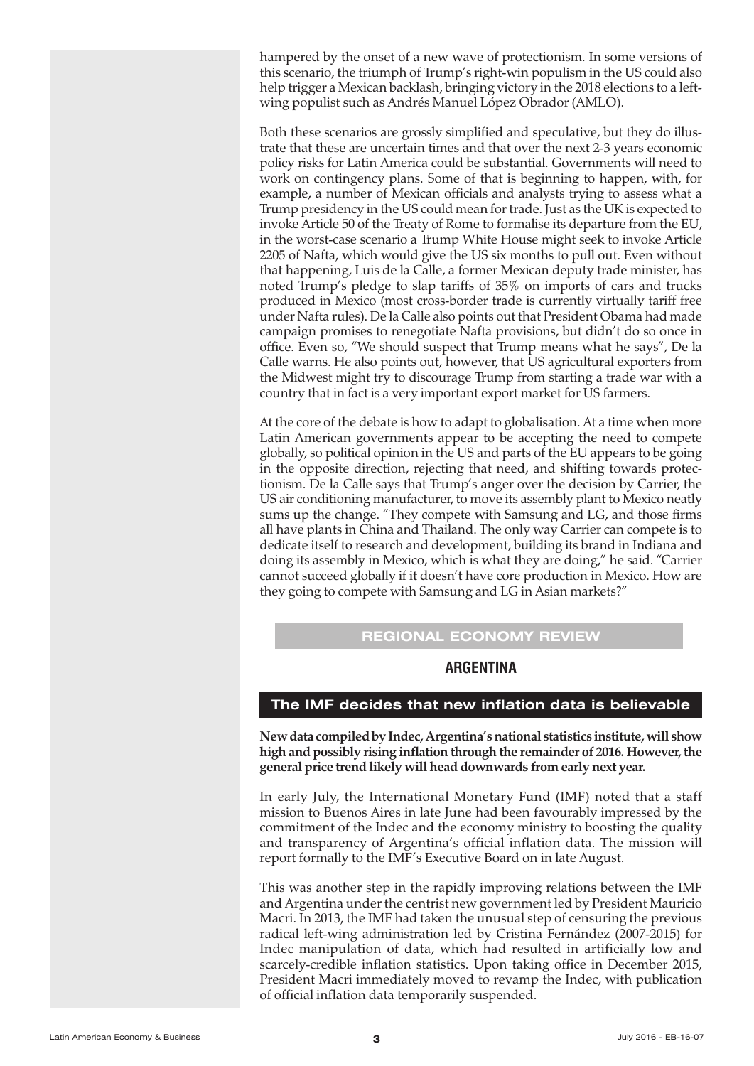<span id="page-2-0"></span>hampered by the onset of a new wave of protectionism. In some versions of this scenario, the triumph of Trump's right-win populism in the US could also help trigger a Mexican backlash, bringing victory in the 2018 elections to a leftwing populist such as Andrés Manuel López Obrador (AMLO).

Both these scenarios are grossly simplified and speculative, but they do illustrate that these are uncertain times and that over the next 2-3 years economic policy risks for Latin America could be substantial. Governments will need to work on contingency plans. Some of that is beginning to happen, with, for example, a number of Mexican officials and analysts trying to assess what a Trump presidency in the US could mean fortrade. Just as the UK is expected to invoke Article 50 of the Treaty of Rome to formalise its departure from the EU, in the worst-case scenario a Trump White House might seek to invoke Article 2205 of Nafta, which would give the US six months to pull out. Even without that happening, Luis de la Calle, a former Mexican deputy trade minister, has noted Trump's pledge to slap tariffs of 35% on imports of cars and trucks produced in Mexico (most cross-border trade is currently virtually tariff free under Nafta rules). De la Calle also points out that President Obama had made campaign promises to renegotiate Nafta provisions, but didn't do so once in office. Even so, "We should suspect that Trump means what he says", De la Calle warns. He also points out, however, that US agricultural exporters from the Midwest might try to discourage Trump from starting a trade war with a country that in fact is a very important export market for US farmers.

At the core of the debate is how to adapt to globalisation. At a time when more Latin American governments appear to be accepting the need to compete globally, so political opinion in the US and parts of the EU appears to be going in the opposite direction, rejecting that need, and shifting towards protectionism. De la Calle says that Trump's anger over the decision by Carrier, the US air conditioning manufacturer, to move its assembly plant to Mexico neatly sums up the change. "They compete with Samsung and LG, and those firms all have plants in China and Thailand. The only way Carrier can compete is to dedicate itself to research and development, building its brand in Indiana and doing its assembly in Mexico, which is what they are doing," he said. "Carrier cannot succeed globally if it doesn't have core production in Mexico. How are they going to compete with Samsung and LG in Asian markets?"

# **REGIONAL ECONOMY REVIEW**

# **ARGENTINA**

#### **The IMF decides that new inflation data is believable**

**New data compiledby Indec,Argentina'snational statistics institute, will show high and possibly rising inflation through the remainder of 2016. However, the general price trend likely will head downwards from early next year.**

In early July, the International Monetary Fund (IMF) noted that a staff mission to Buenos Aires in late June had been favourably impressed by the commitment of the Indec and the economy ministry to boosting the quality and transparency of Argentina's official inflation data. The mission will report formally to the IMF's Executive Board on in late August.

This was another step in the rapidly improving relations between the IMF and Argentina under the centrist new government led by President Mauricio Macri. In 2013, the IMF had taken the unusual step of censuring the previous radical left-wing administration led by Cristina Fernández (2007-2015) for Indec manipulation of data, which had resulted in artificially low and scarcely-credible inflation statistics. Upon taking office in December 2015, President Macri immediately moved to revamp the Indec, with publication of official inflation data temporarily suspended.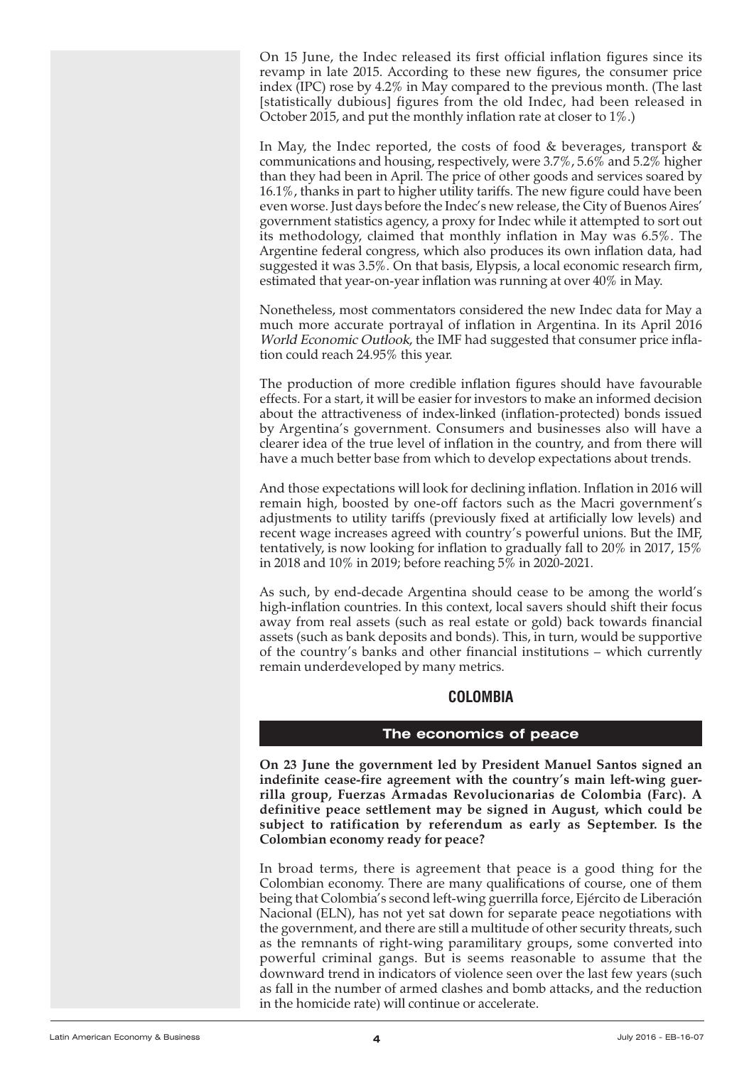<span id="page-3-0"></span>On 15 June, the Indec released its first official inflation figures since its revamp in late 2015. According to these new figures, the consumer price index (IPC) rose by 4.2% in May compared to the previous month. (The last [statistically dubious] figures from the old Indec, had been released in October 2015, and put the monthly inflation rate at closer to 1%.)

In May, the Indec reported, the costs of food  $&$  beverages, transport  $&$ communications and housing, respectively, were 3.7%, 5.6% and 5.2% higher than they had been in April. The price of other goods and services soared by 16.1%, thanks in part to higher utility tariffs. The new figure could have been even worse. Just days before the Indec's new release, the City of Buenos Aires' government statistics agency, a proxy for Indec while it attempted to sort out its methodology, claimed that monthly inflation in May was 6.5%. The Argentine federal congress, which also produces its own inflation data, had suggested it was 3.5%. On that basis, Elypsis, a local economic research firm, estimated that year-on-year inflation was running at over 40% in May.

Nonetheless, most commentators considered the new Indec data for May a much more accurate portrayal of inflation in Argentina. In its April 2016 World Economic Outlook, the IMF had suggested that consumer price inflation could reach 24.95% this year.

The production of more credible inflation figures should have favourable effects. For a start, it will be easier for investors to make an informed decision about the attractiveness of index-linked (inflation-protected) bonds issued by Argentina's government. Consumers and businesses also will have a clearer idea of the true level of inflation in the country, and from there will have a much better base from which to develop expectations about trends.

And those expectations will look for declining inflation. Inflation in 2016 will remain high, boosted by one-off factors such as the Macri government's adjustments to utility tariffs (previously fixed at artificially low levels) and recent wage increases agreed with country's powerful unions. But the IMF, tentatively, is now looking for inflation to gradually fall to 20% in 2017, 15% in 2018 and 10% in 2019; before reaching 5% in 2020-2021.

As such, by end-decade Argentina should cease to be among the world's high-inflation countries. In this context, local savers should shift their focus away from real assets (such as real estate or gold) back towards financial assets (such as bank deposits and bonds). This, in turn, would be supportive of the country's banks and other financial institutions – which currently remain underdeveloped by many metrics.

# **COLOMBIA**

# **The economics of peace**

**On 23 June the government led by President Manuel Santos signed an indefinite cease-fire agreement with the country's main left-wing guerrilla group, Fuerzas Armadas Revolucionarias de Colombia (Farc). A definitive peace settlement may be signed in August, which could be subject to ratification by referendum as early as September. Is the Colombian economy ready for peace?**

In broad terms, there is agreement that peace is a good thing for the Colombian economy. There are many qualifications of course, one of them being that Colombia's second left-wing guerrilla force, Ejército de Liberación Nacional (ELN), has not yet sat down for separate peace negotiations with the government, and there are still a multitude of other security threats, such as the remnants of right-wing paramilitary groups, some converted into powerful criminal gangs. But is seems reasonable to assume that the downward trend in indicators of violence seen over the last few years (such as fall in the number of armed clashes and bomb attacks, and the reduction in the homicide rate) will continue or accelerate.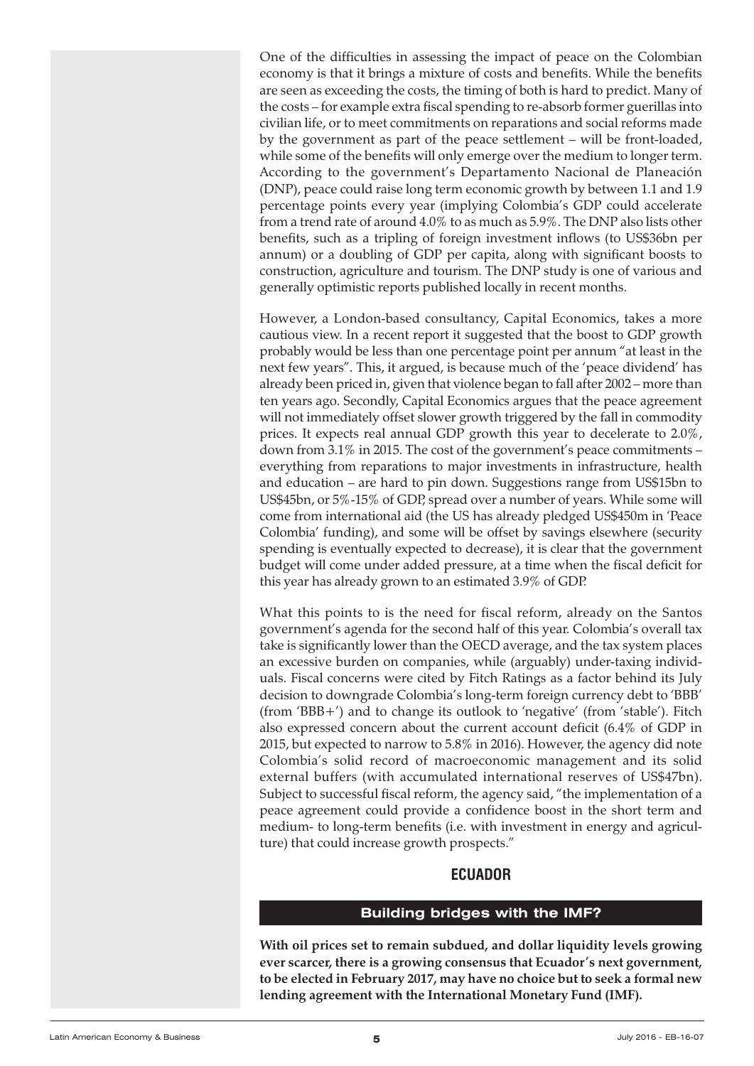<span id="page-4-0"></span>One of the difficulties in assessing the impact of peace on the Colombian economy is that it brings a mixture of costs and benefits. While the benefits are seen as exceeding the costs, the timing of both is hard to predict. Many of the costs – for example extra fiscal spending to re-absorb former guerillas into civilian life, or to meet commitments on reparations and social reforms made by the government as part of the peace settlement – will be front-loaded, while some of the benefits will only emerge over the medium to longer term. According to the government's Departamento Nacional de Planeación (DNP), peace could raise long term economic growth by between 1.1 and 1.9 percentage points every year (implying Colombia's GDP could accelerate from a trend rate of around 4.0% to as much as 5.9%. The DNP also lists other benefits, such as a tripling of foreign investment inflows (to US\$36bn per annum) or a doubling of GDP per capita, along with significant boosts to construction, agriculture and tourism. The DNP study is one of various and generally optimistic reports published locally in recent months.

However, a London-based consultancy, Capital Economics, takes a more cautious view. In a recent report it suggested that the boost to GDP growth probably would be less than one percentage point per annum "at least in the next few years". This, it argued, is because much of the 'peace dividend' has already been priced in, given that violence began to fall after 2002 – more than ten years ago. Secondly, Capital Economics argues that the peace agreement will not immediately offset slower growth triggered by the fall in commodity prices. It expects real annual GDP growth this year to decelerate to 2.0%, down from 3.1% in 2015. The cost of the government's peace commitments – everything from reparations to major investments in infrastructure, health and education – are hard to pin down. Suggestions range from US\$15bn to US\$45bn, or 5%-15% of GDP, spread over a number of years. While some will come from international aid (the US has already pledged US\$450m in 'Peace Colombia' funding), and some will be offset by savings elsewhere (security spending is eventually expected to decrease), it is clear that the government budget will come under added pressure, at a time when the fiscal deficit for this year has already grown to an estimated 3.9% of GDP.

What this points to is the need for fiscal reform, already on the Santos government's agenda for the second half of this year. Colombia's overall tax take is significantly lower than the OECD average, and the tax system places an excessive burden on companies, while (arguably) under-taxing individuals. Fiscal concerns were cited by Fitch Ratings as a factor behind its July decision to downgrade Colombia's long-term foreign currency debt to 'BBB' (from 'BBB+') and to change its outlook to 'negative' (from 'stable'). Fitch also expressed concern about the current account deficit (6.4% of GDP in 2015, but expected to narrow to 5.8% in 2016). However, the agency did note Colombia's solid record of macroeconomic management and its solid external buffers (with accumulated international reserves of US\$47bn). Subject to successful fiscal reform, the agency said, "the implementation of a peace agreement could provide a confidence boost in the short term and medium- to long-term benefits (i.e. with investment in energy and agriculture) that could increase growth prospects."

# **ECUADOR**

# **Building bridges with the IMF?**

**With oil prices set to remain subdued, and dollar liquidity levels growing ever scarcer, there is a growing consensus that Ecuador's next government, to be elected in February 2017, may have no choice but to seek a formal new lending agreement with the International Monetary Fund (IMF).**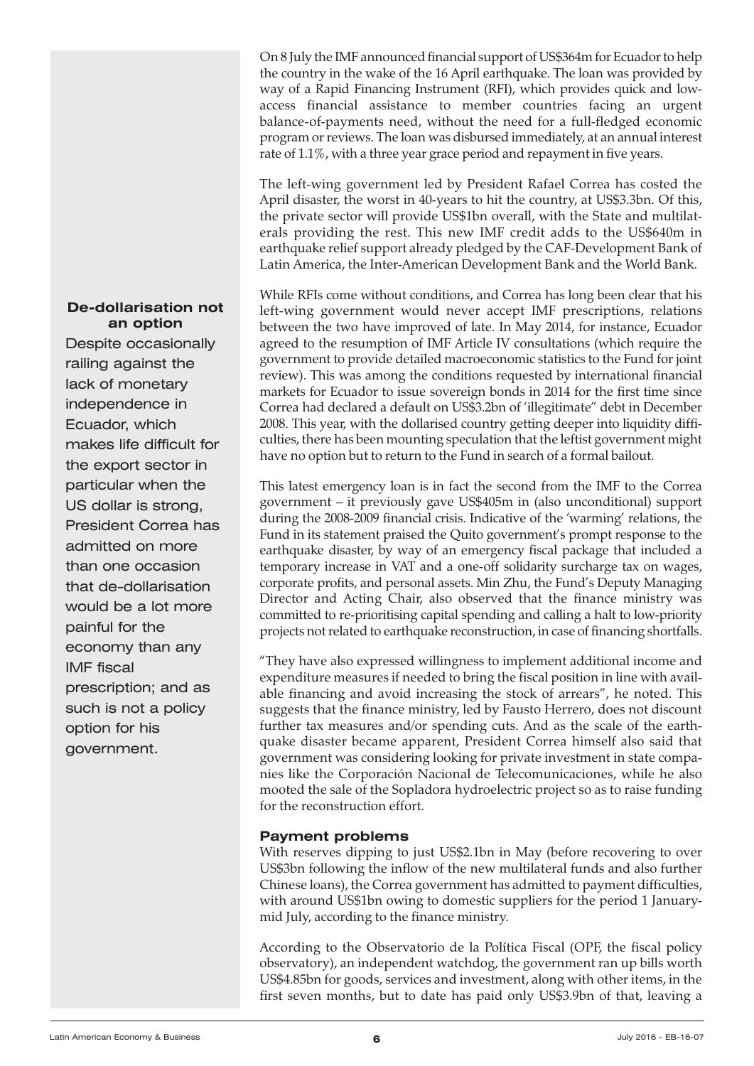On 8 July the IMF announced financial support of US\$364m for Ecuadorto help the country in the wake of the 16 April earthquake. The loan was provided by way of a Rapid Financing Instrument (RFI), which provides quick and lowaccess financial assistance to member countries facing an urgent balance-of-payments need, without the need for a full-fledged economic program or reviews. The loan was disbursed immediately, at an annual interest rate of 1.1%, with a three year grace period and repayment in five years.

The left-wing government led by President Rafael Correa has costed the April disaster, the worst in 40-years to hit the country, at US\$3.3bn. Of this, the private sector will provide US\$1bn overall, with the State and multilaterals providing the rest. This new IMF credit adds to the US\$640m in earthquake relief support already pledged by the CAF-Development Bank of Latin America, the Inter-American Development Bank and the World Bank.

While RFIs come without conditions, and Correa has long been clear that his left-wing government would never accept IMF prescriptions, relations between the two have improved of late. In May 2014, for instance, Ecuador agreed to the resumption of IMF Article IV consultations (which require the government to provide detailed macroeconomic statistics to the Fund for joint review). This was among the conditions requested by international financial markets for Ecuador to issue sovereign bonds in 2014 for the first time since Correa had declared a default on US\$3.2bn of 'illegitimate" debt in December 2008. This year, with the dollarised country getting deeper into liquidity difficulties, there has been mounting speculation that the leftist government might have no option but to return to the Fund in search of a formal bailout.

This latest emergency loan is in fact the second from the IMF to the Correa government – it previously gave US\$405m in (also unconditional) support during the 2008-2009 financial crisis. Indicative of the 'warming' relations, the Fund in its statement praised the Quito government's prompt response to the earthquake disaster, by way of an emergency fiscal package that included a temporary increase in VAT and a one-off solidarity surcharge tax on wages, corporate profits, and personal assets. Min Zhu, the Fund's Deputy Managing Director and Acting Chair, also observed that the finance ministry was committed to re-prioritising capital spending and calling a halt to low-priority projects not related to earthquake reconstruction, in case of financing shortfalls.

"They have also expressed willingness to implement additional income and expenditure measures if needed to bring the fiscal position in line with available financing and avoid increasing the stock of arrears", he noted. This suggests that the finance ministry, led by Fausto Herrero, does not discount further tax measures and/or spending cuts. And as the scale of the earthquake disaster became apparent, President Correa himself also said that government was considering looking for private investment in state companies like the Corporación Nacional de Telecomunicaciones, while he also mooted the sale of the Sopladora hydroelectric project so as to raise funding for the reconstruction effort.

# **Payment problems**

With reserves dipping to just US\$2.1bn in May (before recovering to over US\$3bn following the inflow of the new multilateral funds and also further Chinese loans), the Correa government has admitted to payment difficulties, with around US\$1bn owing to domestic suppliers for the period 1 Januarymid July, according to the finance ministry.

According to the Observatorio de la Política Fiscal (OPF, the fiscal policy observatory), an independent watchdog, the government ran up bills worth US\$4.85bn for goods, services and investment, along with other items, in the first seven months, but to date has paid only US\$3.9bn of that, leaving a

#### **De-dollarisation not an option**

Despite occasionally railing against the lack of monetary independence in Ecuador, which makes life difficult for the export sector in particular when the US dollar is strong, President Correa has admitted on more than one occasion that de-dollarisation would be a lot more painful for the economy than any IMF fiscal prescription; and as such is not a policy option for his government.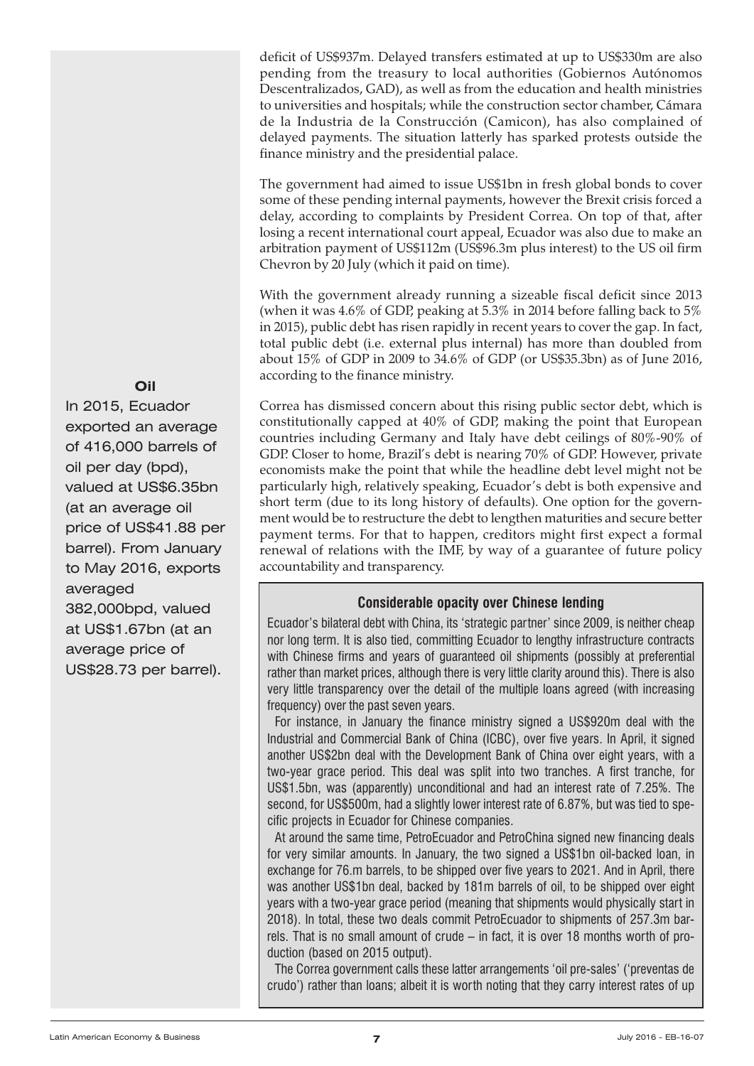deficit of US\$937m. Delayed transfers estimated at up to US\$330m are also pending from the treasury to local authorities (Gobiernos Autónomos Descentralizados, GAD), as well as from the education and health ministries to universities and hospitals; while the construction sector chamber, Cámara de la Industria de la Construcción (Camicon), has also complained of delayed payments. The situation latterly has sparked protests outside the finance ministry and the presidential palace.

The government had aimed to issue US\$1bn in fresh global bonds to cover some of these pending internal payments, however the Brexit crisis forced a delay, according to complaints by President Correa. On top of that, after losing a recent international court appeal, Ecuador was also due to make an arbitration payment of US\$112m (US\$96.3m plus interest) to the US oil firm Chevron by 20 July (which it paid on time).

With the government already running a sizeable fiscal deficit since 2013 (when it was 4.6% of GDP, peaking at 5.3% in 2014 before falling back to 5% in 2015), public debt has risen rapidly in recent years to cover the gap. In fact, total public debt (i.e. external plus internal) has more than doubled from about 15% of GDP in 2009 to 34.6% of GDP (or US\$35.3bn) as of June 2016, according to the finance ministry.

Correa has dismissed concern about this rising public sector debt, which is constitutionally capped at 40% of GDP, making the point that European countries including Germany and Italy have debt ceilings of 80%-90% of GDP. Closer to home, Brazil's debt is nearing 70% of GDP. However, private economists make the point that while the headline debt level might not be particularly high, relatively speaking, Ecuador's debt is both expensive and short term (due to its long history of defaults). One option for the government would be to restructure the debt to lengthen maturities and secure better payment terms. For that to happen, creditors might first expect a formal renewal of relations with the IMF, by way of a guarantee of future policy accountability and transparency.

# **Considerable opacity over Chinese lending**

Ecuador's bilateral debt with China, its 'strategic partner' since 2009, is neither cheap nor long term. It is also tied, committing Ecuador to lengthy infrastructure contracts with Chinese firms and years of guaranteed oil shipments (possibly at preferential rather than market prices, although there is very little clarity around this). There is also very little transparency over the detail of the multiple loans agreed (with increasing frequency) over the past seven years.

For instance, in January the finance ministry signed a US\$920m deal with the Industrial and Commercial Bank of China (ICBC), over five years. In April, it signed another US\$2bn deal with the Development Bank of China over eight years, with a two-year grace period. This deal was split into two tranches. A first tranche, for US\$1.5bn, was (apparently) unconditional and had an interest rate of 7.25%. The second, for US\$500m, had a slightly lower interest rate of 6.87%, but was tied to specific projects in Ecuador for Chinese companies.

At around the same time, PetroEcuador and PetroChina signed new financing deals for very similar amounts. In January, the two signed a US\$1bn oil-backed loan, in exchange for 76.m barrels, to be shipped over five years to 2021. And in April, there was another US\$1bn deal, backed by 181m barrels of oil, to be shipped over eight years with a two-year grace period (meaning that shipments would physically start in 2018). In total, these two deals commit PetroEcuador to shipments of 257.3m barrels. That is no small amount of crude – in fact, it is over 18 months worth of production (based on 2015 output).

The Correa government calls these latter arrangements 'oil pre-sales' ('preventas de crudo') rather than loans; albeit it is worth noting that they carry interest rates of up

#### **Oil**

In 2015, Ecuador exported an average of 416,000 barrels of oil per day (bpd), valued at US\$6.35bn (at an average oil price of US\$41.88 per barrel). From January to May 2016, exports averaged 382,000bpd, valued at US\$1.67bn (at an average price of US\$28.73 per barrel).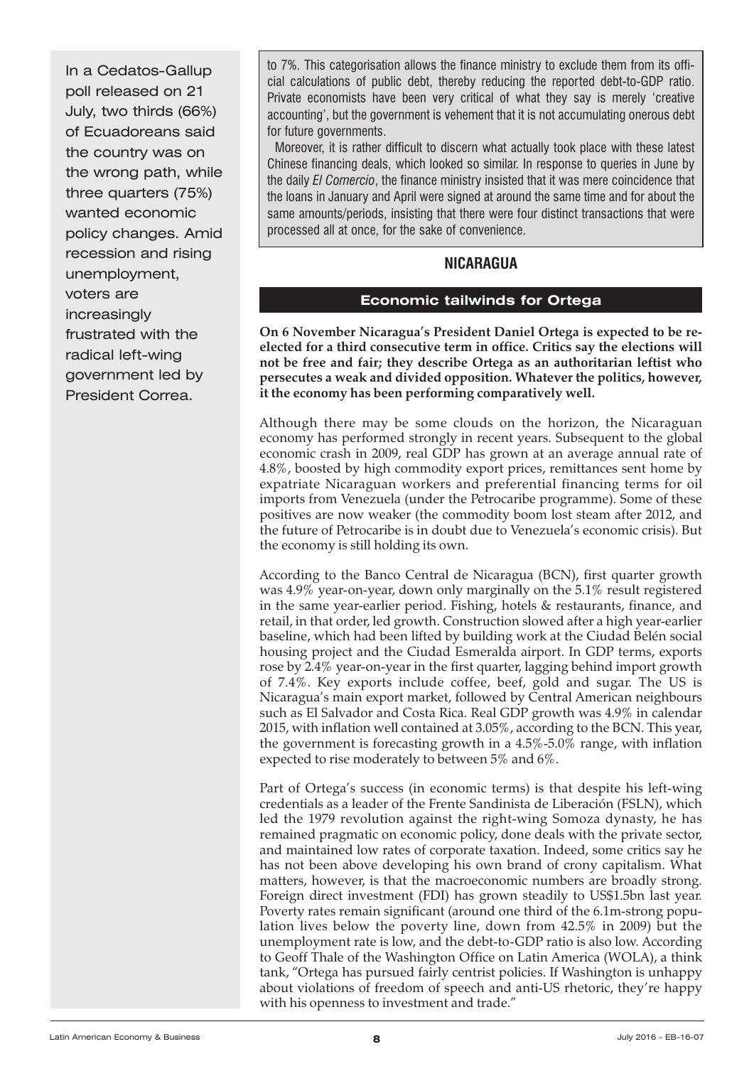<span id="page-7-0"></span>In a Cedatos-Gallup poll released on 21 July, two thirds (66%) of Ecuadoreans said the country was on the wrong path, while three quarters (75%) wanted economic policy changes. Amid recession and rising unemployment, voters are increasingly frustrated with the radical left-wing government led by President Correa.

to 7%. This categorisation allows the finance ministry to exclude them from its official calculations of public debt, thereby reducing the reported debt-to-GDP ratio. Private economists have been very critical of what they say is merely 'creative accounting', but the government is vehement that it is not accumulating onerous debt for future governments.

Moreover, it is rather difficult to discern what actually took place with these latest Chinese financing deals, which looked so similar. In response to queries in June by the daily *El Comercio*, the finance ministry insisted that it was mere coincidence that the loans in January and April were signed at around the same time and for about the same amounts/periods, insisting that there were four distinct transactions that were processed all at once, for the sake of convenience.

# **NICARAGUA**

# **Economic tailwinds for Ortega**

**On 6 November Nicaragua's President Daniel Ortega is expected to be reelected for a third consecutive term in office. Critics say the elections will not be free and fair; they describe Ortega as an authoritarian leftist who persecutes a weak and divided opposition. Whatever the politics, however, it the economy has been performing comparatively well.**

Although there may be some clouds on the horizon, the Nicaraguan economy has performed strongly in recent years. Subsequent to the global economic crash in 2009, real GDP has grown at an average annual rate of 4.8%, boosted by high commodity export prices, remittances sent home by expatriate Nicaraguan workers and preferential financing terms for oil imports from Venezuela (under the Petrocaribe programme). Some of these positives are now weaker (the commodity boom lost steam after 2012, and the future of Petrocaribe is in doubt due to Venezuela's economic crisis). But the economy is still holding its own.

According to the Banco Central de Nicaragua (BCN), first quarter growth was 4.9% year-on-year, down only marginally on the 5.1% result registered in the same year-earlier period. Fishing, hotels & restaurants, finance, and retail, in that order, led growth. Construction slowed after a high year-earlier baseline, which had been lifted by building work at the Ciudad Belén social housing project and the Ciudad Esmeralda airport. In GDP terms, exports rose by 2.4% year-on-year in the first quarter, lagging behind import growth of 7.4%. Key exports include coffee, beef, gold and sugar. The US is Nicaragua's main export market, followed by Central American neighbours such as El Salvador and Costa Rica. Real GDP growth was 4.9% in calendar 2015, with inflation well contained at 3.05%, according to the BCN. This year, the government is forecasting growth in a 4.5%-5.0% range, with inflation expected to rise moderately to between 5% and 6%.

Part of Ortega's success (in economic terms) is that despite his left-wing credentials as a leader of the Frente Sandinista de Liberación (FSLN), which led the 1979 revolution against the right-wing Somoza dynasty, he has remained pragmatic on economic policy, done deals with the private sector, and maintained low rates of corporate taxation. Indeed, some critics say he has not been above developing his own brand of crony capitalism. What matters, however, is that the macroeconomic numbers are broadly strong. Foreign direct investment (FDI) has grown steadily to US\$1.5bn last year. Poverty rates remain significant (around one third of the 6.1m-strong population lives below the poverty line, down from 42.5% in 2009) but the unemployment rate is low, and the debt-to-GDP ratio is also low. According to Geoff Thale of the Washington Office on Latin America (WOLA), a think tank, "Ortega has pursued fairly centrist policies. If Washington is unhappy about violations of freedom of speech and anti-US rhetoric, they're happy with his openness to investment and trade."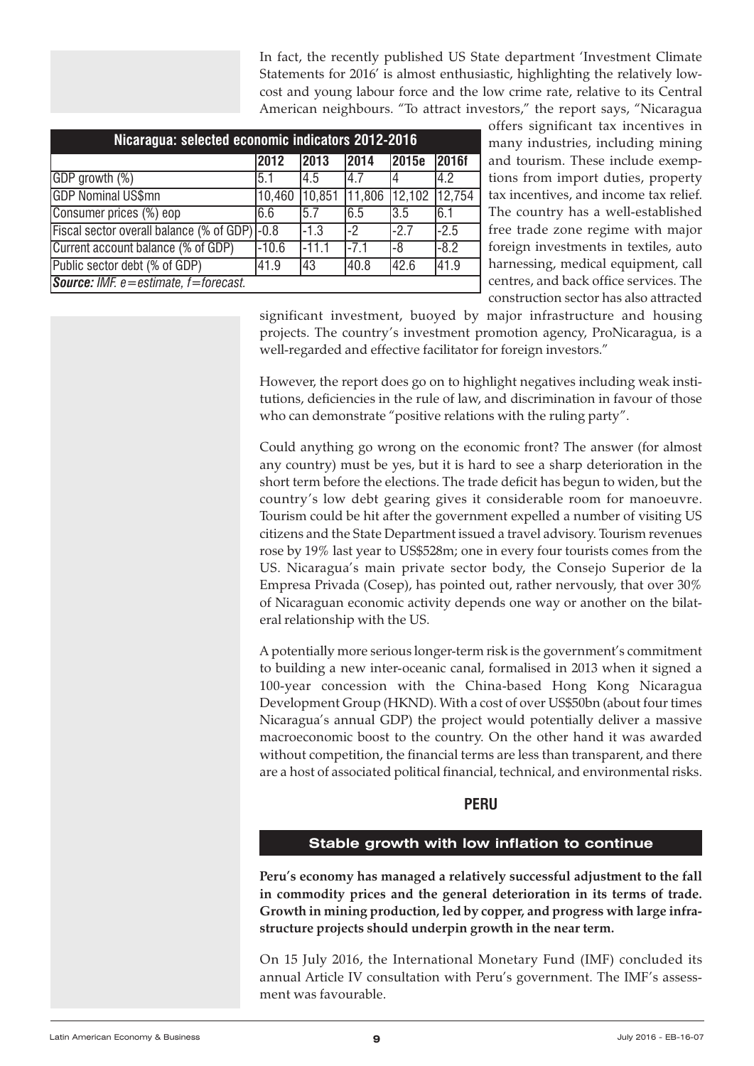In fact, the recently published US State department 'Investment Climate Statements for 2016' is almost enthusiastic, highlighting the relatively lowcost and young labour force and the low crime rate, relative to its Central American neighbours. "To attract investors," the report says, "Nicaragua

<span id="page-8-0"></span>

| Nicaragua: selected economic indicators 2012-2016                   |         |         |        |        |              |  |
|---------------------------------------------------------------------|---------|---------|--------|--------|--------------|--|
|                                                                     | 2012    | 2013    | 2014   | 2015e  | <b>2016f</b> |  |
| GDP growth (%)                                                      | 5.1     | 4.5     | 4.7    |        | 4.2          |  |
| <b>GDP Nominal US\$mn</b>                                           | 10,460  | 10,851  | 11,806 | 12,102 | 12,754       |  |
| Consumer prices (%) eop                                             | 6.6     | 5.7     | 6.5    | 3.5    | 6.1          |  |
| Fiscal sector overall balance (% of GDP) - 0.8                      |         | $-1.3$  | l-2    | $-27$  | $-2.5$       |  |
| Current account balance (% of GDP)                                  | $-10.6$ | $-11.1$ | $-7.1$ | -8     | $-8.2$       |  |
| Public sector debt (% of GDP)<br>40.8<br>42.6<br>41.9<br>41.9<br>43 |         |         |        |        |              |  |
| <b>Source:</b> IMF. $e = estimate$ , $f = forecast$ .               |         |         |        |        |              |  |

offers significant tax incentives in many industries, including mining and tourism. These include exemptions from import duties, property tax incentives, and income tax relief. The country has a well-established free trade zone regime with major foreign investments in textiles, auto harnessing, medical equipment, call centres, and back office services. The construction sector has also attracted

significant investment, buoyed by major infrastructure and housing projects. The country's investment promotion agency, ProNicaragua, is a well-regarded and effective facilitator for foreign investors."

However, the report does go on to highlight negatives including weak institutions, deficiencies in the rule of law, and discrimination in favour of those who can demonstrate "positive relations with the ruling party".

Could anything go wrong on the economic front? The answer (for almost any country) must be yes, but it is hard to see a sharp deterioration in the short term before the elections. The trade deficit has begun to widen, but the country's low debt gearing gives it considerable room for manoeuvre. Tourism could be hit after the government expelled a number of visiting US citizens and the State Department issued a travel advisory. Tourism revenues rose by 19% last year to US\$528m; one in every four tourists comes from the US. Nicaragua's main private sector body, the Consejo Superior de la Empresa Privada (Cosep), has pointed out, rather nervously, that over 30% of Nicaraguan economic activity depends one way or another on the bilateral relationship with the US.

A potentially more serious longer-term risk is the government's commitment to building a new inter-oceanic canal, formalised in 2013 when it signed a 100-year concession with the China-based Hong Kong Nicaragua Development Group (HKND). With a cost of over US\$50bn (about four times Nicaragua's annual GDP) the project would potentially deliver a massive macroeconomic boost to the country. On the other hand it was awarded without competition, the financial terms are less than transparent, and there are a host of associated political financial, technical, and environmental risks.

# **PERU**

# **Stable growth with low inflation to continue**

**Peru's economy has managed a relatively successful adjustment to the fall in commodity prices and the general deterioration in its terms of trade. Growth in mining production, led by copper, and progress with large infrastructure projects should underpin growth in the near term.**

On 15 July 2016, the International Monetary Fund (IMF) concluded its annual Article IV consultation with Peru's government. The IMF's assessment was favourable.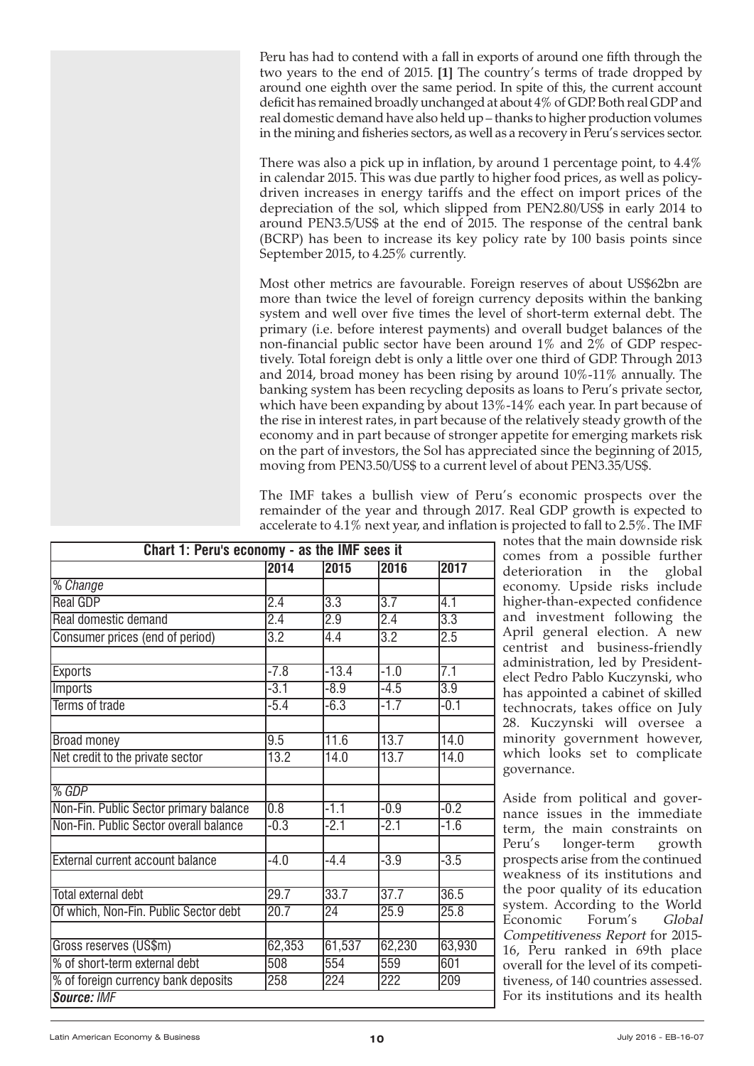Peru has had to contend with a fall in exports of around one fifth through the two years to the end of 2015. **[1]** The country's terms of trade dropped by around one eighth over the same period. In spite of this, the current account deficit has remained broadly unchanged at about 4% of GDP. Both real GDP and real domestic demand have also held up – thanks to higher production volumes in the mining and fisheries sectors, as well as a recovery in Peru's services sector.

There was also a pick up in inflation, by around 1 percentage point, to 4.4% in calendar 2015. This was due partly to higher food prices, as well as policydriven increases in energy tariffs and the effect on import prices of the depreciation of the sol, which slipped from PEN2.80/US\$ in early 2014 to around PEN3.5/US\$ at the end of 2015. The response of the central bank (BCRP) has been to increase its key policy rate by 100 basis points since September 2015, to 4.25% currently.

Most other metrics are favourable. Foreign reserves of about US\$62bn are more than twice the level of foreign currency deposits within the banking system and well over five times the level of short-term external debt. The primary (i.e. before interest payments) and overall budget balances of the non-financial public sector have been around 1% and 2% of GDP respectively. Total foreign debt is only a little over one third of GDP. Through 2013 and 2014, broad money has been rising by around 10%-11% annually. The banking system has been recycling deposits as loans to Peru's private sector, which have been expanding by about 13%-14% each year. In part because of the rise in interest rates, in part because of the relatively steady growth of the economy and in part because of stronger appetite for emerging markets risk on the part of investors, the Sol has appreciated since the beginning of 2015, moving from PEN3.50/US\$ to a current level of about PEN3.35/US\$.

The IMF takes a bullish view of Peru's economic prospects over the remainder of the year and through 2017. Real GDP growth is expected to accelerate to 4.1% next year, and inflation is projected to fall to 2.5%. The IMF

| Chart 1: Peru's economy - as the IMF sees it |                  |                  |                  |                  |  |  |  |
|----------------------------------------------|------------------|------------------|------------------|------------------|--|--|--|
|                                              | 2014             | 2015             | 2016             | 2017             |  |  |  |
| % Change                                     |                  |                  |                  |                  |  |  |  |
| <b>Real GDP</b>                              | 2.4              | 3.3              | $\overline{3.7}$ | 4.1              |  |  |  |
| Real domestic demand                         | $\overline{2.4}$ | $\overline{2.9}$ | 2.4              | $\overline{3.3}$ |  |  |  |
| Consumer prices (end of period)              | $\overline{3.2}$ | 4.4              | $\overline{3.2}$ | 2.5              |  |  |  |
|                                              |                  |                  |                  |                  |  |  |  |
| <b>Exports</b>                               | $-7.8$           | $-13.4$          | $-1.0$           | 7.1              |  |  |  |
| Imports                                      | $-3.1$           | $-8.9$           | $-4.5$           | $\overline{3.9}$ |  |  |  |
| <b>Terms of trade</b>                        | $-5.4$           | $-6.3$           | $-1.7$           | $-0.1$           |  |  |  |
|                                              |                  |                  |                  |                  |  |  |  |
| <b>Broad money</b>                           | 9.5              | 11.6             | 13.7             | 14.0             |  |  |  |
| Net credit to the private sector             | 13.2             | 14.0             | 13.7             | 14.0             |  |  |  |
|                                              |                  |                  |                  |                  |  |  |  |
| % GDP                                        |                  |                  |                  |                  |  |  |  |
| Non-Fin. Public Sector primary balance       | 0.8              | $-1.1$           | $-0.9$           | $-0.2$           |  |  |  |
| Non-Fin, Public Sector overall balance       | $-0.3$           | $-2.1$           | $-2.1$           | $-1.6$           |  |  |  |
|                                              |                  |                  |                  |                  |  |  |  |
| <b>External current account balance</b>      | $-4.0$           | $-4.4$           | $-3.9$           | $-3.5$           |  |  |  |
|                                              |                  |                  |                  |                  |  |  |  |
| <b>Total external debt</b>                   | 29.7             | 33.7             | 37.7             | 36.5             |  |  |  |
| Of which, Non-Fin. Public Sector debt        | 20.7             | $\overline{24}$  | 25.9             | 25.8             |  |  |  |
|                                              |                  |                  |                  |                  |  |  |  |
| Gross reserves (US\$m)                       | 62,353           | 61,537           | 62,230           | 63,930           |  |  |  |
| % of short-term external debt                | 508              | 554              | 559              | 601              |  |  |  |
| % of foreign currency bank deposits          | 258              | 224              | $\overline{222}$ | 209              |  |  |  |
| Source: IMF                                  |                  |                  |                  |                  |  |  |  |

notes that the main downside risk comes from a possible further deterioration in the global economy. Upside risks include higher-than-expected confidence and investment following the April general election. A new centrist and business-friendly administration, led by Presidentelect Pedro Pablo Kuczynski, who has appointed a cabinet of skilled technocrats, takes office on July 28. Kuczynski will oversee a minority government however, which looks set to complicate governance.

Aside from political and governance issues in the immediate term, the main constraints on Peru's longer-term growth prospects arise from the continued weakness of its institutions and the poor quality of its education system. According to the World Economic Forum's Global Competitiveness Report for 2015- 16, Peru ranked in 69th place overall for the level of its competitiveness, of 140 countries assessed. For its institutions and its health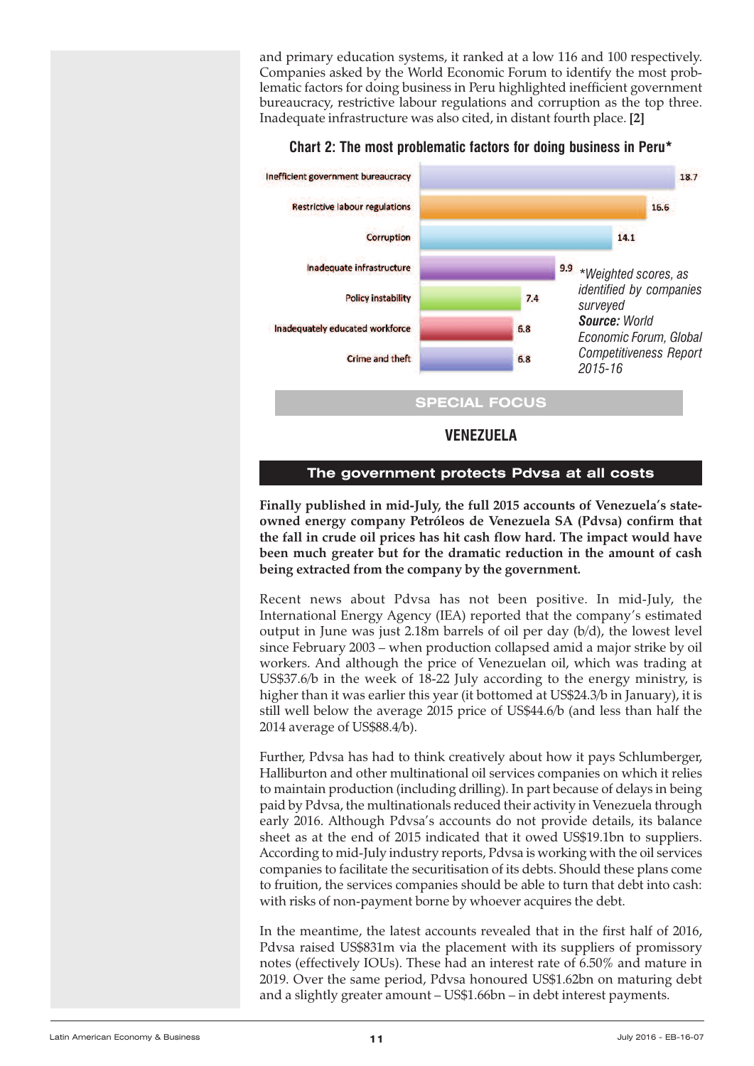<span id="page-10-0"></span>and primary education systems, it ranked at a low 116 and 100 respectively. Companies asked by the World Economic Forum to identify the most problematic factors for doing business in Peru highlighted inefficient government bureaucracy, restrictive labour regulations and corruption as the top three. Inadequate infrastructure was also cited, in distant fourth place. **[2]**



#### **Chart 2: The most problematic factors for doing business in Peru\***

#### **The government protects Pdvsa at all costs**

**Finally published in mid-July, the full 2015 accounts of Venezuela's stateowned energy company Petróleos de Venezuela SA (Pdvsa) confirm that the fall in crude oil prices has hit cash flow hard. The impact would have been much greater but for the dramatic reduction in the amount of cash being extracted from the company by the government.**

Recent news about Pdvsa has not been positive. In mid-July, the International Energy Agency (IEA) reported that the company's estimated output in June was just 2.18m barrels of oil per day (b/d), the lowest level since February 2003 – when production collapsed amid a major strike by oil workers. And although the price of Venezuelan oil, which was trading at US\$37.6/b in the week of 18-22 July according to the energy ministry, is higher than it was earlier this year (it bottomed at US\$24.3/b in January), it is still well below the average 2015 price of US\$44.6/b (and less than half the 2014 average of US\$88.4/b).

Further, Pdvsa has had to think creatively about how it pays Schlumberger, Halliburton and other multinational oil services companies on which it relies to maintain production (including drilling). In part because of delays in being paid by Pdvsa, the multinationals reduced their activity in Venezuela through early 2016. Although Pdvsa's accounts do not provide details, its balance sheet as at the end of 2015 indicated that it owed US\$19.1bn to suppliers. According to mid-July industry reports, Pdvsa is working with the oil services companies to facilitate the securitisation of its debts. Should these plans come to fruition, the services companies should be able to turn that debt into cash: with risks of non-payment borne by whoever acquires the debt.

In the meantime, the latest accounts revealed that in the first half of 2016, Pdvsa raised US\$831m via the placement with its suppliers of promissory notes (effectively IOUs). These had an interest rate of 6.50% and mature in 2019. Over the same period, Pdvsa honoured US\$1.62bn on maturing debt and a slightly greater amount – US\$1.66bn – in debt interest payments.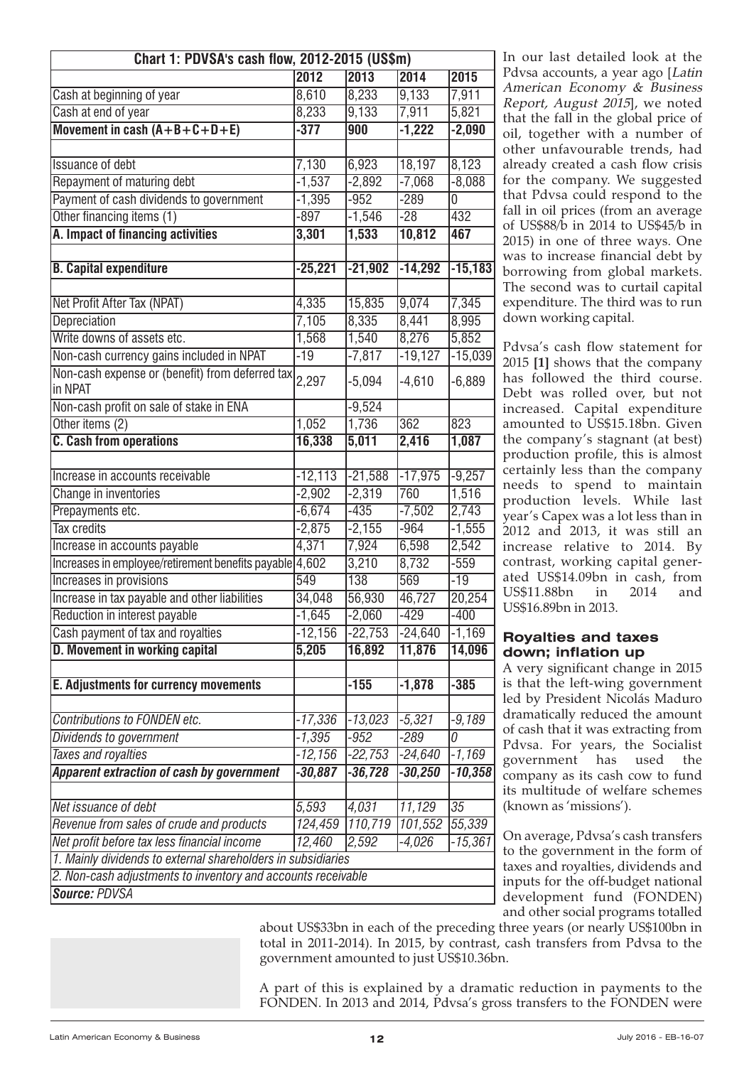| Chart 1: PDVSA's cash flow, 2012-2015 (US\$m)                |           |           |           |                 |  |  |
|--------------------------------------------------------------|-----------|-----------|-----------|-----------------|--|--|
|                                                              | 2012      | 2013      | 2014      | 2015            |  |  |
| Cash at beginning of year                                    | 8,610     | 8,233     | 9,133     | 7,911           |  |  |
| Cash at end of year                                          | 8,233     | 9,133     | 7,911     | 5,821           |  |  |
| Movement in cash $(A+B+C+D+E)$                               | $-377$    | 900       | $-1,222$  | $-2,090$        |  |  |
|                                                              |           |           |           |                 |  |  |
| <b>Issuance of debt</b>                                      | 7,130     | 6,923     | 18,197    | 8,123           |  |  |
| Repayment of maturing debt                                   | $-1,537$  | $-2,892$  | $-7,068$  | $-8,088$        |  |  |
| Payment of cash dividends to government                      | $-1,395$  | $-952$    | $-289$    | 0               |  |  |
| Other financing items (1)                                    | $-897$    | $-1,546$  | $-28$     | 432             |  |  |
| A. Impact of financing activities                            | 3,301     | 1,533     | 10,812    | 467             |  |  |
|                                                              |           |           |           |                 |  |  |
| <b>B.</b> Capital expenditure                                | $-25,221$ | $-21,902$ | $-14,292$ | $-15,183$       |  |  |
|                                                              |           |           |           |                 |  |  |
| Net Profit After Tax (NPAT)                                  | 4,335     | 15,835    | 9,074     | 7,345           |  |  |
| Depreciation                                                 | 7,105     | 8,335     | 8,441     | 8,995           |  |  |
| Write downs of assets etc.                                   | 1,568     | 1,540     | 8,276     | 5,852           |  |  |
| Non-cash currency gains included in NPAT                     | $-19$     | $-7,817$  | $-19,127$ | $-15,039$       |  |  |
| Non-cash expense or (benefit) from deferred tax<br>in NPAT   | 2,297     | $-5,094$  | $-4,610$  | $-6,889$        |  |  |
| Non-cash profit on sale of stake in ENA                      |           | $-9,524$  |           |                 |  |  |
| Other items (2)                                              | 1,052     | 1,736     | 362       | 823             |  |  |
| <b>C. Cash from operations</b>                               | 16,338    | 5,011     | 2,416     | 1,087           |  |  |
|                                                              |           |           |           |                 |  |  |
| Increase in accounts receivable                              | $-12,113$ | $-21,588$ | $-17,975$ | $-9,257$        |  |  |
| Change in inventories                                        | $-2,902$  | $-2,319$  | 760       | 1,516           |  |  |
| Prepayments etc.                                             | $-6,674$  | $-435$    | $-7,502$  | 2,743           |  |  |
| <b>Tax credits</b>                                           | $-2,875$  | $-2,155$  | $-964$    | $-1,555$        |  |  |
| Increase in accounts payable                                 | 4,371     | 7,924     | 6,598     | 2,542           |  |  |
| Increases in employee/retirement benefits payable 4,602      |           | 3,210     | 8,732     | $-559$          |  |  |
| Increases in provisions                                      | 549       | 138       | 569       | $-19$           |  |  |
| Increase in tax payable and other liabilities                | 34,048    | 56,930    | 46,727    | 20,254          |  |  |
| Reduction in interest payable                                | $-1,645$  | $-2,060$  | $-429$    | $-400$          |  |  |
| Cash payment of tax and royalties                            | $-12,156$ | $-22,753$ | $-24,640$ | $-1,169$        |  |  |
| <b>D. Movement in working capital</b>                        | 5,205     | 16,892    | 11,876    | 14,096          |  |  |
|                                                              |           |           |           |                 |  |  |
| <b>E. Adjustments for currency movements</b>                 |           | $-155$    | $-1,878$  | $-385$          |  |  |
|                                                              |           |           |           |                 |  |  |
| Contributions to FONDEN etc.                                 | $-17,336$ | $-13,023$ | $-5,321$  | $-9,189$        |  |  |
| Dividends to government                                      | $-1,395$  | $-952$    | $-289$    | 0               |  |  |
| <b>Taxes and royalties</b>                                   | $-12,156$ | $-22,753$ | -24,640   | -1,169          |  |  |
| Apparent extraction of cash by government                    | $-30,887$ | $-36,728$ | $-30,250$ | $-10,358$       |  |  |
|                                                              |           |           |           |                 |  |  |
| Net issuance of debt                                         | 5,593     | 4,031     | 11,129    | $\overline{35}$ |  |  |
| Revenue from sales of crude and products                     | 124,459   | 110,719   | 101,552   | 55,339          |  |  |
| Net profit before tax less financial income                  | 12,460    | 2,592     | $-4,026$  | $-15,361$       |  |  |
| 1. Mainly dividends to external shareholders in subsidiaries |           |           |           |                 |  |  |
| 2. Non-cash adjustments to inventory and accounts receivable |           |           |           |                 |  |  |
| Source: PDVSA                                                |           |           |           |                 |  |  |

In our last detailed look at the Pdvsa accounts, a year ago [Latin] American Economy & Business Report, August <sup>2015</sup>], we noted that the fall in the global price of oil, together with a number of other unfavourable trends, had already created a cash flow crisis for the company. We suggested that Pdvsa could respond to the fall in oil prices (from an average of US\$88/b in 2014 to US\$45/b in 2015) in one of three ways. One was to increase financial debt by borrowing from global markets. The second was to curtail capital expenditure. The third was to run down working capital.

Pdvsa's cash flow statement for 2015 **[1]** shows that the company has followed the third course. Debt was rolled over, but not increased. Capital expenditure amounted to US\$15.18bn. Given the company's stagnant (at best) production profile, this is almost certainly less than the company needs to spend to maintain production levels. While last year's Capex was a lot less than in 2012 and 2013, it was still an increase relative to 2014. By contrast, working capital generated US\$14.09bn in cash, from US\$11.88bn in 2014 and US\$16.89bn in 2013.

#### **Royalties and taxes down; inflation up**

A very significant change in 2015 is that the left-wing government led by President Nicolás Maduro dramatically reduced the amount of cash that it was extracting from Pdvsa. For years, the Socialist government has used the company as its cash cow to fund its multitude of welfare schemes (known as 'missions').

On average, Pdvsa's cash transfers to the government in the form of taxes and royalties, dividends and inputs for the off-budget national development fund (FONDEN) and other social programs totalled

about US\$33bn in each of the preceding three years (or nearly US\$100bn in total in 2011-2014). In 2015, by contrast, cash transfers from Pdvsa to the government amounted to just US\$10.36bn.

A part of this is explained by a dramatic reduction in payments to the FONDEN. In 2013 and 2014, Pdvsa's gross transfers to the FONDEN were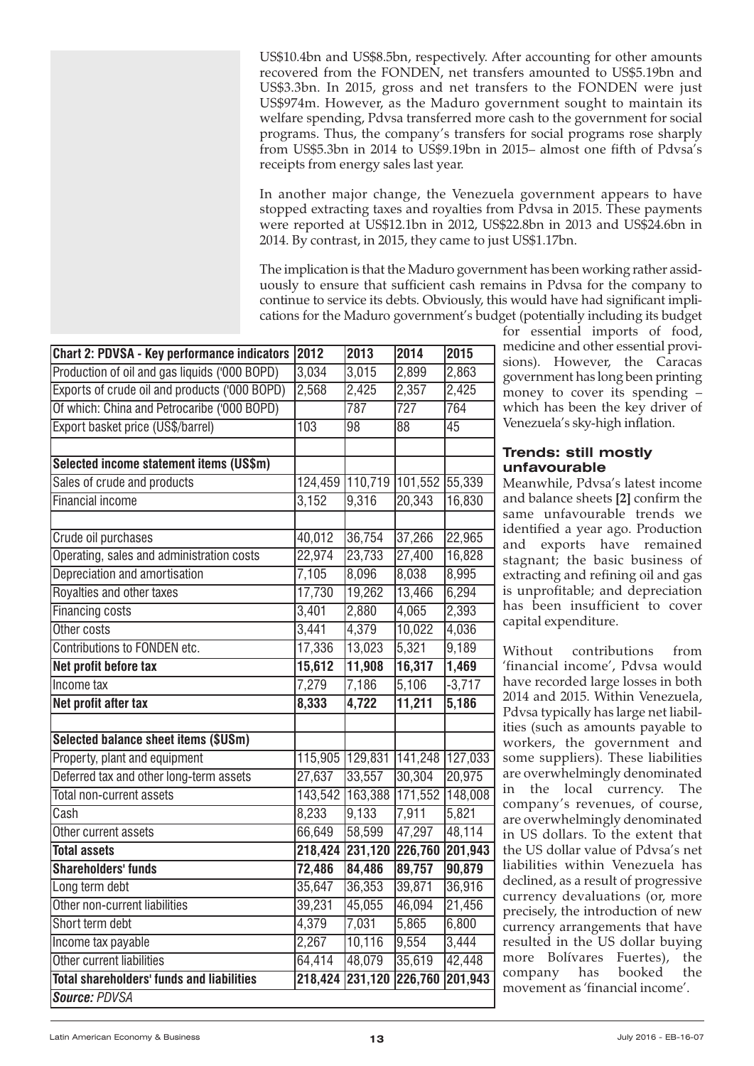US\$10.4bn and US\$8.5bn, respectively. After accounting for other amounts recovered from the FONDEN, net transfers amounted to US\$5.19bn and US\$3.3bn. In 2015, gross and net transfers to the FONDEN were just US\$974m. However, as the Maduro government sought to maintain its welfare spending, Pdvsa transferred more cash to the government for social programs. Thus, the company's transfers for social programs rose sharply from US\$5.3bn in 2014 to US\$9.19bn in 2015– almost one fifth of Pdvsa's receipts from energy sales last year.

In another major change, the Venezuela government appears to have stopped extracting taxes and royalties from Pdvsa in 2015. These payments were reported at US\$12.1bn in 2012, US\$22.8bn in 2013 and US\$24.6bn in 2014. By contrast, in 2015, they came to just US\$1.17bn.

The implication is that the Maduro government has been working rather assiduously to ensure that sufficient cash remains in Pdvsa for the company to continue to service its debts. Obviously, this would have had significant implications for the Maduro government's budget (potentially including its budget

| <b>Chart 2: PDVSA - Key performance indicators</b> | 2012    | 2013            | $\sqrt{2014}$    | 2015     |
|----------------------------------------------------|---------|-----------------|------------------|----------|
| Production of oil and gas liquids ('000 BOPD)      | 3,034   | 3,015           | 2,899            | 2,863    |
| Exports of crude oil and products ('000 BOPD)      | 2,568   | 2,425           | 2,357            | 2,425    |
| Of which: China and Petrocaribe ('000 BOPD)        |         | 787             | $\overline{727}$ | 764      |
| Export basket price (US\$/barrel)                  | 103     | 98              | 88               | 45       |
|                                                    |         |                 |                  |          |
| Selected income statement items (US\$m)            |         |                 |                  |          |
| Sales of crude and products                        |         | 124,459 110,719 | 101,552          | 55,339   |
| <b>Financial income</b>                            | 3,152   | 9,316           | 20,343           | 16,830   |
|                                                    |         |                 |                  |          |
| Crude oil purchases                                | 40,012  | 36,754          | 37,266           | 22,965   |
| Operating, sales and administration costs          | 22,974  | 23,733          | 27,400           | 16,828   |
| Depreciation and amortisation                      | 7,105   | 8,096           | 8,038            | 8,995    |
| Royalties and other taxes                          | 17,730  | 19,262          | 13,466           | 6,294    |
| <b>Financing costs</b>                             | 3,401   | 2,880           | 4,065            | 2,393    |
| Other costs                                        | 3,441   | 4,379           | 10,022           | 4,036    |
| Contributions to FONDEN etc.                       | 17,336  | 13,023          | 5,321            | 9,189    |
| Net profit before tax                              | 15,612  | 11,908          | 16,317           | 1,469    |
| Income tax                                         | 7,279   | 7,186           | 5,106            | $-3,717$ |
| Net profit after tax                               | 8,333   | 4,722           | 11,211           | 5,186    |
|                                                    |         |                 |                  |          |
| <b>Selected balance sheet items (\$USm)</b>        |         |                 |                  |          |
| Property, plant and equipment                      |         | 115,905 129,831 | 141,248          | 127,033  |
| Deferred tax and other long-term assets            | 27,637  | 33,557          | 30,304           | 20,975   |
| Total non-current assets                           | 143,542 | 163,388         | 171,552          | 148,008  |
| Cash                                               | 8,233   | 9,133           | 7,911            | 5,821    |
| Other current assets                               | 66,649  | 58,599          | 47,297           | 48,114   |
| <b>Total assets</b>                                | 218,424 | 231,120         | 226,760          | 201,943  |
| <b>Shareholders' funds</b>                         | 72,486  | 84,486          | 89,757           | 90,879   |
| Long term debt                                     | 35,647  | 36,353          | 39,871           | 36,916   |
| Other non-current liabilities                      | 39,231  | 45,055          | 46,094           | 21,456   |
| Short term debt                                    | 4,379   | 7,031           | 5,865            | 6,800    |
| Income tax payable                                 | 2,267   | 10,116          | 9,554            | 3,444    |
| Other current liabilities                          | 64,414  | 48,079          | 35,619           | 42,448   |
| <b>Total shareholders' funds and liabilities</b>   | 218,424 | 231,120         | 226,760          | 201,943  |
| Source: PDVSA                                      |         |                 |                  |          |

for essential imports of food, medicine and other essential provisions). However, the Caracas government has long been printing money to cover its spending – which has been the key driver of Venezuela's sky-high inflation.

#### **Trends: still mostly unfavourable**

Meanwhile, Pdvsa's latest income and balance sheets **[2]** confirm the same unfavourable trends we identified a year ago. Production and exports have remained stagnant; the basic business of extracting and refining oil and gas is unprofitable; and depreciation has been insufficient to cover capital expenditure.

Without contributions from 'financial income', Pdvsa would have recorded large losses in both 2014 and 2015. Within Venezuela, Pdvsa typically has large net liabilities (such as amounts payable to workers, the government and some suppliers). These liabilities are overwhelmingly denominated in the local currency. The company's revenues, of course, are overwhelmingly denominated in US dollars. To the extent that the US dollar value of Pdvsa's net liabilities within Venezuela has declined, as a result of progressive currency devaluations (or, more precisely, the introduction of new currency arrangements that have resulted in the US dollar buying more Bolívares Fuertes), the company has booked the movement as 'financial income'.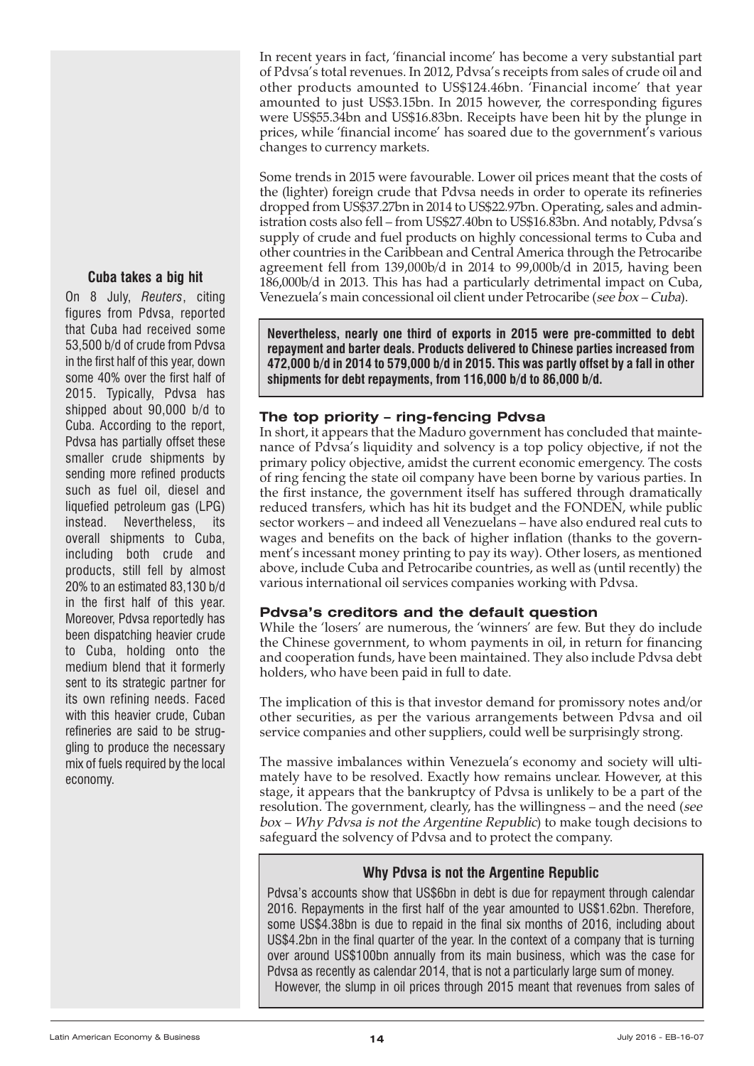**Cuba takes a big hit**

On 8 July, *Reuters*, citing figures from Pdvsa, reported that Cuba had received some 53,500 b/d of crude from Pdvsa in the first half of this year, down some 40% over the first half of 2015. Typically, Pdvsa has shipped about 90,000 b/d to Cuba. According to the report, Pdvsa has partially offset these smaller crude shipments by sending more refined products such as fuel oil, diesel and liquefied petroleum gas (LPG) instead. Nevertheless, its overall shipments to Cuba, including both crude and products, still fell by almost 20% to an estimated 83,130 b/d in the first half of this year. Moreover, Pdvsa reportedly has been dispatching heavier crude to Cuba, holding onto the medium blend that it formerly sent to its strategic partner for its own refining needs. Faced with this heavier crude, Cuban refineries are said to be struggling to produce the necessary mix of fuels required by the local economy.

In recent years in fact, 'financial income' has become a very substantial part of Pdvsa's total revenues. In 2012, Pdvsa's receipts from sales of crude oil and other products amounted to US\$124.46bn. 'Financial income' that year amounted to just US\$3.15bn. In 2015 however, the corresponding figures were US\$55.34bn and US\$16.83bn. Receipts have been hit by the plunge in prices, while 'financial income' has soared due to the government's various changes to currency markets.

Some trends in 2015 were favourable. Lower oil prices meant that the costs of the (lighter) foreign crude that Pdvsa needs in order to operate its refineries dropped from US\$37.27bn in 2014 to US\$22.97bn. Operating, sales and administration costs also fell – from US\$27.40bn to US\$16.83bn. And notably, Pdvsa's supply of crude and fuel products on highly concessional terms to Cuba and other countries in the Caribbean and Central America through the Petrocaribe agreement fell from 139,000b/d in 2014 to 99,000b/d in 2015, having been 186,000b/d in 2013. This has had a particularly detrimental impact on Cuba, Venezuela's main concessional oil client under Petrocaribe (see box – Cuba).

**Nevertheless, nearly one third of exports in 2015 were pre-committed to debt repayment and barter deals. Products delivered to Chinese parties increased from 472,000 b/d in 2014 to 579,000 b/d in 2015. This was partly offset by a fall in other shipments for debt repayments, from 116,000 b/d to 86,000 b/d.**

# **The top priority – ring-fencing Pdvsa**

In short, it appears that the Maduro government has concluded that maintenance of Pdvsa's liquidity and solvency is a top policy objective, if not the primary policy objective, amidst the current economic emergency. The costs of ring fencing the state oil company have been borne by various parties. In the first instance, the government itself has suffered through dramatically reduced transfers, which has hit its budget and the FONDEN, while public sector workers – and indeed all Venezuelans – have also endured real cuts to wages and benefits on the back of higher inflation (thanks to the government's incessant money printing to pay its way). Other losers, as mentioned above, include Cuba and Petrocaribe countries, as well as (until recently) the various international oil services companies working with Pdvsa.

# **Pdvsa's creditors and the default question**

While the 'losers' are numerous, the 'winners' are few. But they do include the Chinese government, to whom payments in oil, in return for financing and cooperation funds, have been maintained. They also include Pdvsa debt holders, who have been paid in full to date.

The implication of this is that investor demand for promissory notes and/or other securities, as per the various arrangements between Pdvsa and oil service companies and other suppliers, could well be surprisingly strong.

The massive imbalances within Venezuela's economy and society will ultimately have to be resolved. Exactly how remains unclear. However, at this stage, it appears that the bankruptcy of Pdvsa is unlikely to be a part of the resolution. The government, clearly, has the willingness – and the need (see box – Why Pdvsa is not the Argentine Republic) to make tough decisions to safeguard the solvency of Pdvsa and to protect the company.

# **Why Pdvsa is not the Argentine Republic**

Pdvsa's accounts show that US\$6bn in debt is due for repayment through calendar 2016. Repayments in the first half of the year amounted to US\$1.62bn. Therefore, some US\$4.38bn is due to repaid in the final six months of 2016, including about US\$4.2bn in the final quarter of the year. In the context of a company that is turning over around US\$100bn annually from its main business, which was the case for Pdvsa as recently as calendar 2014, that is not a particularly large sum of money. However, the slump in oil prices through 2015 meant that revenues from sales of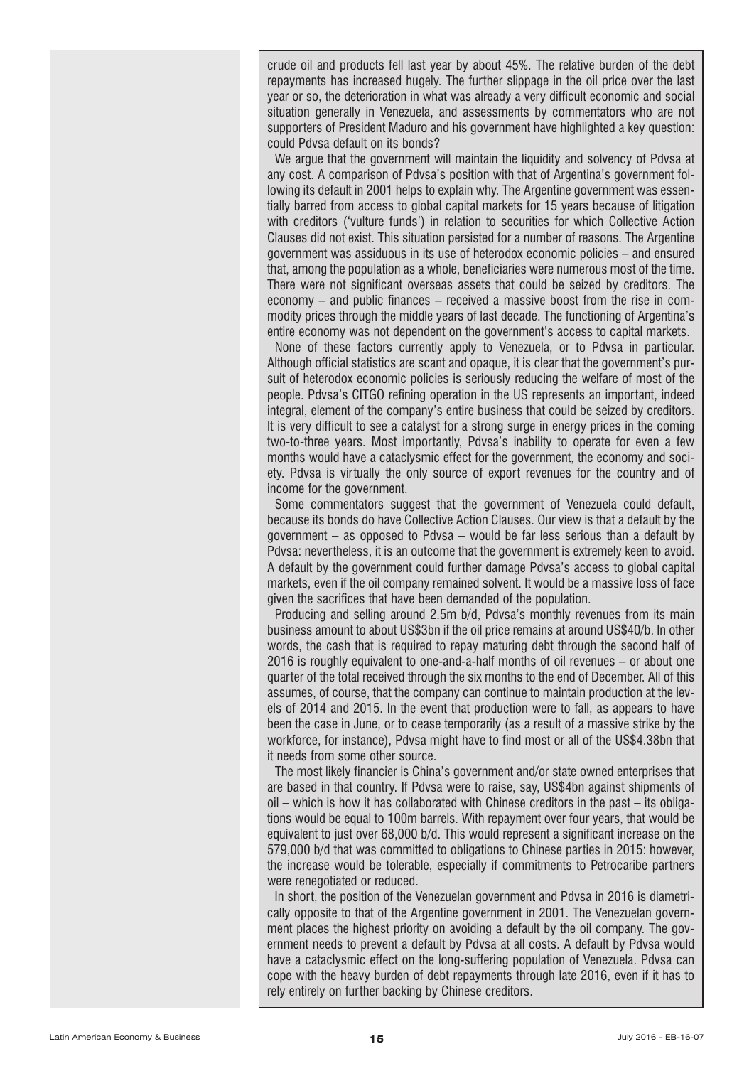crude oil and products fell last year by about 45%. The relative burden of the debt repayments has increased hugely. The further slippage in the oil price over the last year or so, the deterioration in what was already a very difficult economic and social situation generally in Venezuela, and assessments by commentators who are not supporters of President Maduro and his government have highlighted a key question: could Pdvsa default on its bonds?

We argue that the government will maintain the liquidity and solvency of Pdvsa at any cost. A comparison of Pdvsa's position with that of Argentina's government following its default in 2001 helps to explain why. The Argentine government was essentially barred from access to global capital markets for 15 years because of litigation with creditors ('vulture funds') in relation to securities for which Collective Action Clauses did not exist. This situation persisted for a number of reasons. The Argentine government was assiduous in its use of heterodox economic policies – and ensured that, among the population as a whole, beneficiaries were numerous most of the time. There were not significant overseas assets that could be seized by creditors. The economy – and public finances – received a massive boost from the rise in commodity prices through the middle years of last decade. The functioning of Argentina's entire economy was not dependent on the government's access to capital markets.

None of these factors currently apply to Venezuela, or to Pdvsa in particular. Although official statistics are scant and opaque, it is clear that the government's pursuit of heterodox economic policies is seriously reducing the welfare of most of the people. Pdvsa's CITGO refining operation in the US represents an important, indeed integral, element of the company's entire business that could be seized by creditors. It is very difficult to see a catalyst for a strong surge in energy prices in the coming two-to-three years. Most importantly, Pdvsa's inability to operate for even a few months would have a cataclysmic effect for the government, the economy and society. Pdvsa is virtually the only source of export revenues for the country and of income for the government.

Some commentators suggest that the government of Venezuela could default, because its bonds do have Collective Action Clauses. Our view is that a default by the government – as opposed to Pdvsa – would be far less serious than a default by Pdvsa: nevertheless, it is an outcome that the government is extremely keen to avoid. A default by the government could further damage Pdvsa's access to global capital markets, even if the oil company remained solvent. It would be a massive loss of face given the sacrifices that have been demanded of the population.

Producing and selling around 2.5m b/d, Pdvsa's monthly revenues from its main business amount to about US\$3bn if the oil price remains at around US\$40/b. In other words, the cash that is required to repay maturing debt through the second half of 2016 is roughly equivalent to one-and-a-half months of oil revenues – or about one quarter of the total received through the six months to the end of December. All of this assumes, of course, that the company can continue to maintain production at the levels of 2014 and 2015. In the event that production were to fall, as appears to have been the case in June, or to cease temporarily (as a result of a massive strike by the workforce, for instance), Pdvsa might have to find most or all of the US\$4.38bn that it needs from some other source.

The most likely financier is China's government and/or state owned enterprises that are based in that country. If Pdvsa were to raise, say, US\$4bn against shipments of oil – which is how it has collaborated with Chinese creditors in the past – its obligations would be equal to 100m barrels. With repayment over four years, that would be equivalent to just over 68,000 b/d. This would represent a significant increase on the 579,000 b/d that was committed to obligations to Chinese parties in 2015: however, the increase would be tolerable, especially if commitments to Petrocaribe partners were renegotiated or reduced.

In short, the position of the Venezuelan government and Pdvsa in 2016 is diametrically opposite to that of the Argentine government in 2001. The Venezuelan government places the highest priority on avoiding a default by the oil company. The government needs to prevent a default by Pdvsa at all costs. A default by Pdvsa would have a cataclysmic effect on the long-suffering population of Venezuela. Pdvsa can cope with the heavy burden of debt repayments through late 2016, even if it has to rely entirely on further backing by Chinese creditors.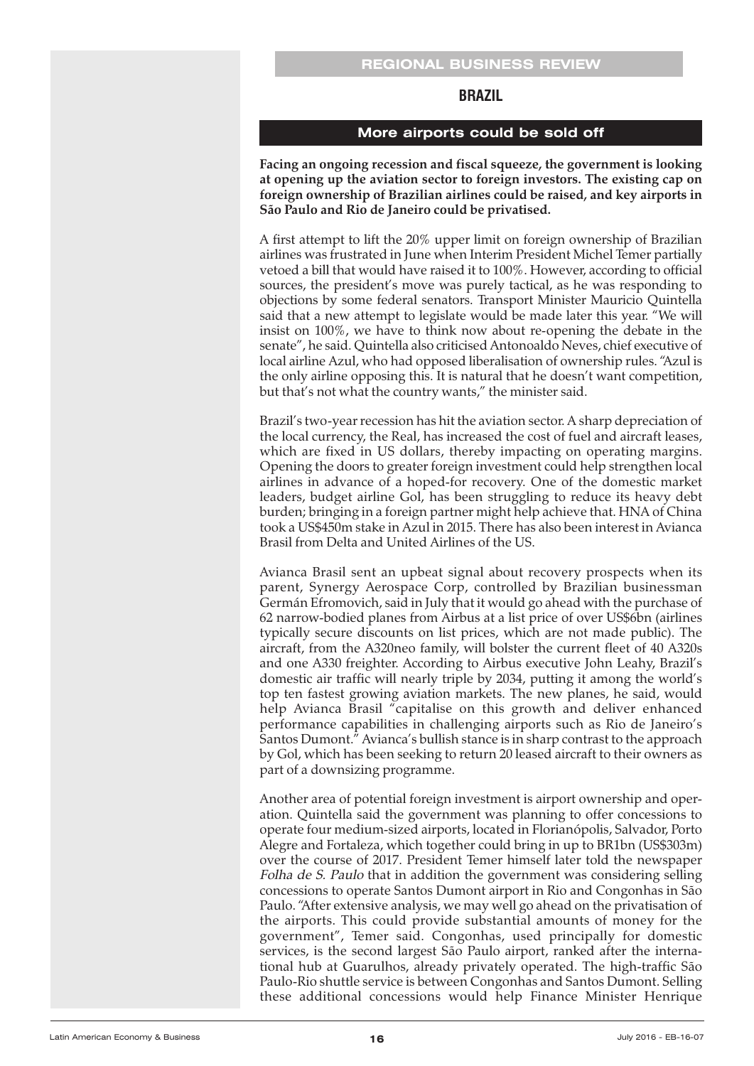#### **REGIONAL BUSINESS REVIEW**

#### **BRAZIL**

#### **More airports could be sold off**

<span id="page-15-0"></span>**Facing an ongoing recession and fiscal squeeze, the government is looking at opening up the aviation sector to foreign investors. The existing cap on foreign ownership of Brazilian airlines could be raised, and key airports in São Paulo and Rio de Janeiro could be privatised.**

A first attempt to lift the 20% upper limit on foreign ownership of Brazilian airlines was frustrated in June when Interim President Michel Temer partially vetoed a bill that would have raised it to 100%. However, according to official sources, the president's move was purely tactical, as he was responding to objections by some federal senators. Transport Minister Mauricio Quintella said that a new attempt to legislate would be made later this year. "We will insist on 100%, we have to think now about re-opening the debate in the senate", he said. Quintella also criticised Antonoaldo Neves, chief executive of local airline Azul, who had opposed liberalisation of ownership rules. "Azul is the only airline opposing this. It is natural that he doesn't want competition, but that's not what the country wants," the minister said.

Brazil's two-year recession has hit the aviation sector. A sharp depreciation of the local currency, the Real, has increased the cost of fuel and aircraft leases, which are fixed in US dollars, thereby impacting on operating margins. Opening the doors to greater foreign investment could help strengthen local airlines in advance of a hoped-for recovery. One of the domestic market leaders, budget airline Gol, has been struggling to reduce its heavy debt burden; bringing in a foreign partner might help achieve that. HNA of China took a US\$450m stake in Azul in 2015. There has also been interest in Avianca Brasil from Delta and United Airlines of the US.

Avianca Brasil sent an upbeat signal about recovery prospects when its parent, Synergy Aerospace Corp, controlled by Brazilian businessman Germán Efromovich, said in July that it would go ahead with the purchase of 62 narrow-bodied planes from Airbus at a list price of over US\$6bn (airlines typically secure discounts on list prices, which are not made public). The aircraft, from the A320neo family, will bolster the current fleet of 40 A320s and one A330 freighter. According to Airbus executive John Leahy, Brazil's domestic air traffic will nearly triple by 2034, putting it among the world's top ten fastest growing aviation markets. The new planes, he said, would help Avianca Brasil "capitalise on this growth and deliver enhanced performance capabilities in challenging airports such as Rio de Janeiro's Santos Dumont." Avianca's bullish stance is in sharp contrast to the approach by Gol, which has been seeking to return 20 leased aircraft to their owners as part of a downsizing programme.

Another area of potential foreign investment is airport ownership and operation. Quintella said the government was planning to offer concessions to operate four medium-sized airports, located in Florianópolis, Salvador, Porto Alegre and Fortaleza, which together could bring in up to BR1bn (US\$303m) over the course of 2017. President Temer himself later told the newspaper Folha de S. Paulo that in addition the government was considering selling concessions to operate Santos Dumont airport in Rio and Congonhas in São Paulo. "After extensive analysis, we may well go ahead on the privatisation of the airports. This could provide substantial amounts of money for the government", Temer said. Congonhas, used principally for domestic services, is the second largest São Paulo airport, ranked after the international hub at Guarulhos, already privately operated. The high-traffic São Paulo-Rio shuttle service is between Congonhas and Santos Dumont. Selling these additional concessions would help Finance Minister Henrique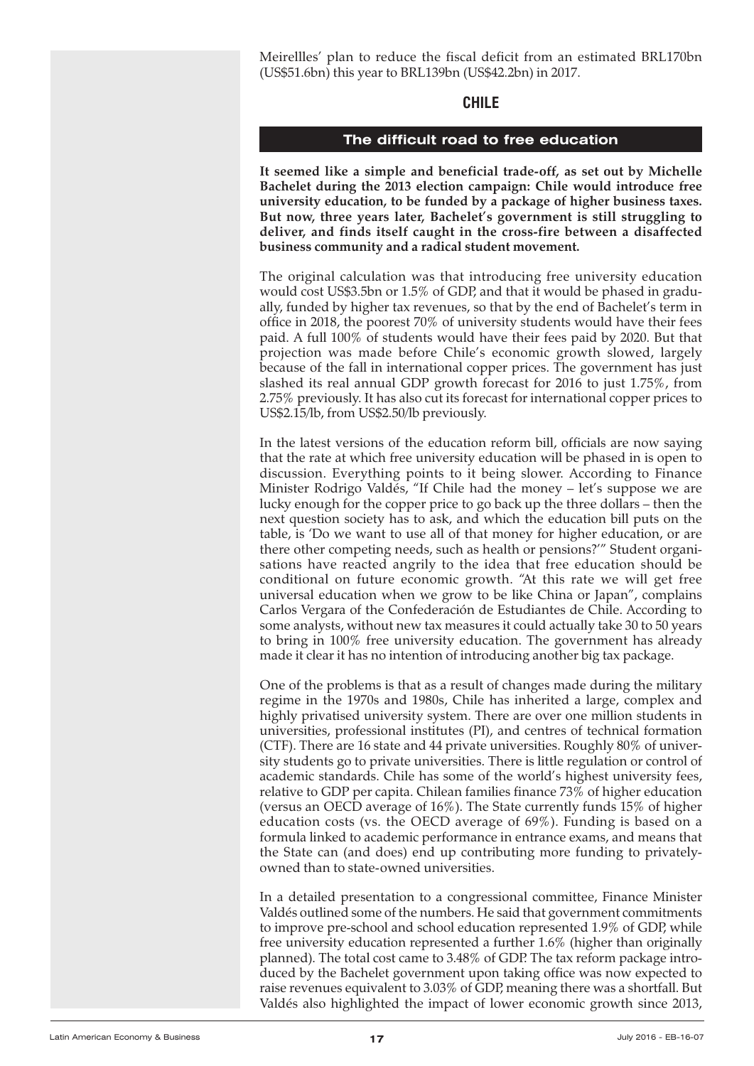<span id="page-16-0"></span>Meirellles' plan to reduce the fiscal deficit from an estimated BRL170bn (US\$51.6bn) this year to BRL139bn (US\$42.2bn) in 2017.

#### **CHILE**

#### **The difficult road to free education**

**It seemed like a simple and beneficial trade-off, as set out by Michelle Bachelet during the 2013 election campaign: Chile would introduce free university education, to be funded by a package of higher business taxes. But now, three years later, Bachelet's government is still struggling to deliver, and finds itself caught in the cross-fire between a disaffected business community and a radical student movement.**

The original calculation was that introducing free university education would cost US\$3.5bn or 1.5% of GDP, and that it would be phased in gradually, funded by higher tax revenues, so that by the end of Bachelet's term in office in 2018, the poorest 70% of university students would have their fees paid. A full 100% of students would have their fees paid by 2020. But that projection was made before Chile's economic growth slowed, largely because of the fall in international copper prices. The government has just slashed its real annual GDP growth forecast for 2016 to just 1.75%, from 2.75% previously. It has also cut its forecast for international copper prices to US\$2.15/lb, from US\$2.50/lb previously.

In the latest versions of the education reform bill, officials are now saying that the rate at which free university education will be phased in is open to discussion. Everything points to it being slower. According to Finance Minister Rodrigo Valdés, "If Chile had the money – let's suppose we are lucky enough for the copper price to go back up the three dollars – then the next question society has to ask, and which the education bill puts on the table, is 'Do we want to use all of that money for higher education, or are there other competing needs, such as health or pensions?'" Student organisations have reacted angrily to the idea that free education should be conditional on future economic growth. "At this rate we will get free universal education when we grow to be like China or Japan", complains Carlos Vergara of the Confederación de Estudiantes de Chile. According to some analysts, without new tax measures it could actually take 30 to 50 years to bring in 100% free university education. The government has already made it clear it has no intention of introducing another big tax package.

One of the problems is that as a result of changes made during the military regime in the 1970s and 1980s, Chile has inherited a large, complex and highly privatised university system. There are over one million students in universities, professional institutes (PI), and centres of technical formation (CTF). There are 16 state and 44 private universities. Roughly 80% of university students go to private universities. There is little regulation or control of academic standards. Chile has some of the world's highest university fees, relative to GDP per capita. Chilean families finance 73% of higher education (versus an OECD average of 16%). The State currently funds 15% of higher education costs (vs. the OECD average of 69%). Funding is based on a formula linked to academic performance in entrance exams, and means that the State can (and does) end up contributing more funding to privatelyowned than to state-owned universities.

In a detailed presentation to a congressional committee, Finance Minister Valdés outlined some of the numbers. He said that government commitments to improve pre-school and school education represented 1.9% of GDP, while free university education represented a further 1.6% (higher than originally planned). The total cost came to 3.48% of GDP. The tax reform package introduced by the Bachelet government upon taking office was now expected to raise revenues equivalent to 3.03% of GDP, meaning there was a shortfall. But Valdés also highlighted the impact of lower economic growth since 2013,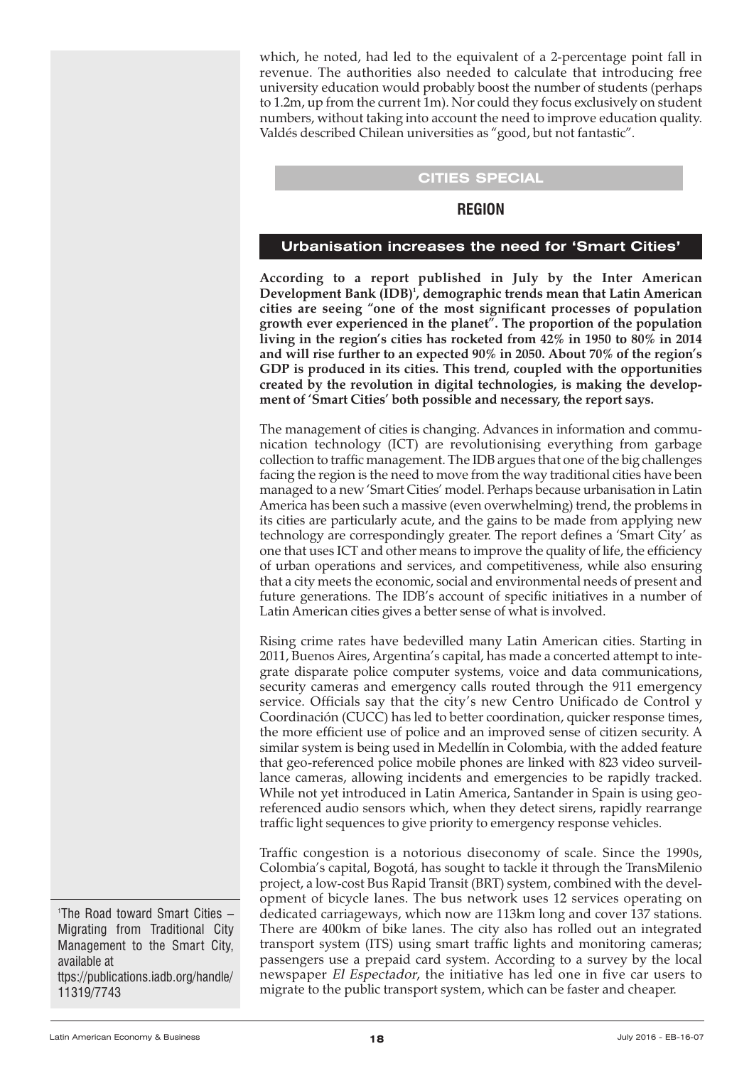<span id="page-17-0"></span>which, he noted, had led to the equivalent of a 2-percentage point fall in revenue. The authorities also needed to calculate that introducing free university education would probably boost the number of students (perhaps to 1.2m, up from the current 1m). Nor could they focus exclusively on student numbers, without taking into account the need to improve education quality. Valdés described Chilean universities as "good, but not fantastic".

#### **CITIES SPECIAL**

#### **REGION**

#### **Urbanisation increases the need for 'Smart Cities'**

**According to a report published in July by the Inter American Development Bank (IDB) 1 , demographic trends mean that Latin American cities are seeing "one of the most significant processes of population growth ever experienced in the planet". The proportion of the population living in the region's cities has rocketed from 42% in 1950 to 80% in 2014 and will rise further to an expected 90% in 2050. About 70% of the region's GDP is produced in its cities. This trend, coupled with the opportunities created by the revolution in digital technologies, is making the development of 'Smart Cities' both possible and necessary, the report says.**

The management of cities is changing. Advances in information and communication technology (ICT) are revolutionising everything from garbage collection to traffic management. The IDB argues that one of the big challenges facing the region is the need to move from the way traditional cities have been managed to a new 'Smart Cities' model. Perhaps because urbanisation in Latin America has been such a massive (even overwhelming) trend, the problems in its cities are particularly acute, and the gains to be made from applying new technology are correspondingly greater. The report defines a 'Smart City' as one that uses ICT and other means to improve the quality of life, the efficiency of urban operations and services, and competitiveness, while also ensuring that a city meets the economic, social and environmental needs of present and future generations. The IDB's account of specific initiatives in a number of Latin American cities gives a better sense of what is involved.

Rising crime rates have bedevilled many Latin American cities. Starting in 2011, Buenos Aires, Argentina's capital, has made a concerted attempt to integrate disparate police computer systems, voice and data communications, security cameras and emergency calls routed through the 911 emergency service. Officials say that the city's new Centro Unificado de Control y Coordinación (CUCC) has led to better coordination, quicker response times, the more efficient use of police and an improved sense of citizen security. A similar system is being used in Medellín in Colombia, with the added feature that geo-referenced police mobile phones are linked with 823 video surveillance cameras, allowing incidents and emergencies to be rapidly tracked. While not yet introduced in Latin America, Santander in Spain is using georeferenced audio sensors which, when they detect sirens, rapidly rearrange traffic light sequences to give priority to emergency response vehicles.

Traffic congestion is a notorious diseconomy of scale. Since the 1990s, Colombia's capital, Bogotá, has sought to tackle it through the TransMilenio project, a low-cost Bus Rapid Transit (BRT) system, combined with the development of bicycle lanes. The bus network uses 12 services operating on dedicated carriageways, which now are 113km long and cover 137 stations. There are 400km of bike lanes. The city also has rolled out an integrated transport system (ITS) using smart traffic lights and monitoring cameras; passengers use a prepaid card system. According to a survey by the local newspaper El Espectador, the initiative has led one in five car users to migrate to the public transport system, which can be faster and cheaper.

1 The Road toward Smart Cities – Migrating from Traditional City Management to the Smart City, available at ttps://publications.iadb.org/handle/ 11319/7743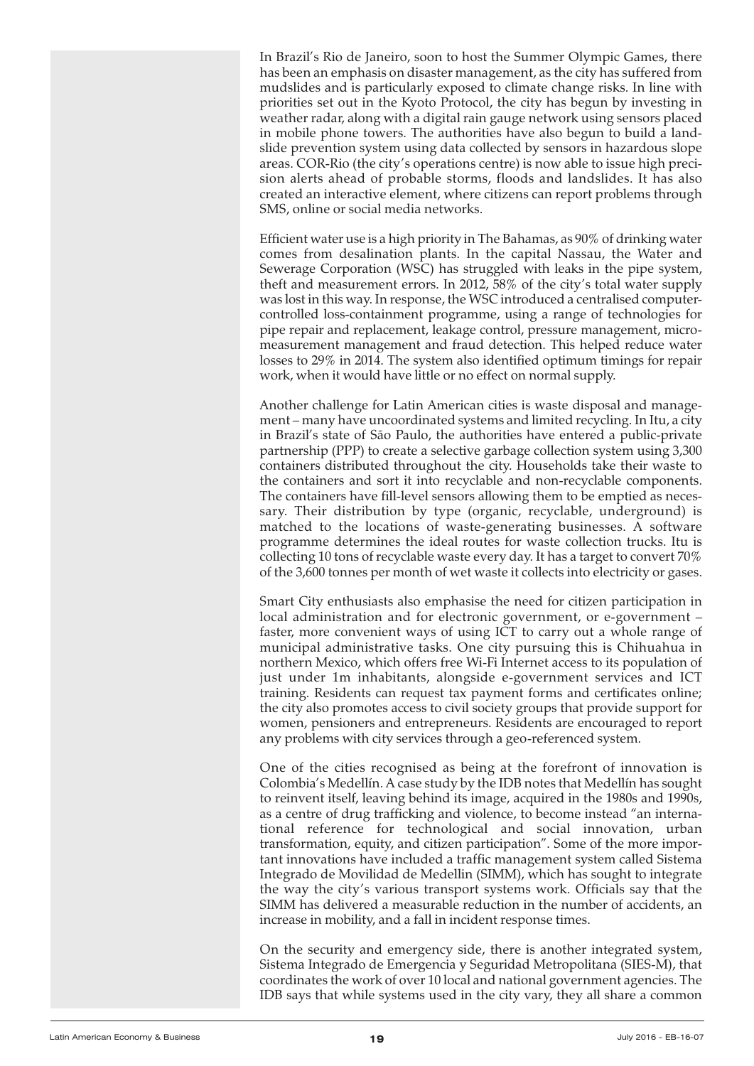In Brazil's Rio de Janeiro, soon to host the Summer Olympic Games, there has been an emphasis on disaster management, as the city has suffered from mudslides and is particularly exposed to climate change risks. In line with priorities set out in the Kyoto Protocol, the city has begun by investing in weather radar, along with a digital rain gauge network using sensors placed in mobile phone towers. The authorities have also begun to build a landslide prevention system using data collected by sensors in hazardous slope areas. COR-Rio (the city's operations centre) is now able to issue high precision alerts ahead of probable storms, floods and landslides. It has also created an interactive element, where citizens can report problems through SMS, online or social media networks.

Efficient water use is a high priority in The Bahamas, as 90% of drinking water comes from desalination plants. In the capital Nassau, the Water and Sewerage Corporation (WSC) has struggled with leaks in the pipe system, theft and measurement errors. In 2012, 58% of the city's total water supply was lost in this way. In response, the WSC introduced a centralised computercontrolled loss-containment programme, using a range of technologies for pipe repair and replacement, leakage control, pressure management, micromeasurement management and fraud detection. This helped reduce water losses to 29% in 2014. The system also identified optimum timings for repair work, when it would have little or no effect on normal supply.

Another challenge for Latin American cities is waste disposal and management – many have uncoordinated systems and limited recycling. In Itu, a city in Brazil's state of São Paulo, the authorities have entered a public-private partnership (PPP) to create a selective garbage collection system using 3,300 containers distributed throughout the city. Households take their waste to the containers and sort it into recyclable and non-recyclable components. The containers have fill-level sensors allowing them to be emptied as necessary. Their distribution by type (organic, recyclable, underground) is matched to the locations of waste-generating businesses. A software programme determines the ideal routes for waste collection trucks. Itu is collecting 10 tons of recyclable waste every day. It has a target to convert 70% of the 3,600 tonnes per month of wet waste it collects into electricity or gases.

Smart City enthusiasts also emphasise the need for citizen participation in local administration and for electronic government, or e-government – faster, more convenient ways of using ICT to carry out a whole range of municipal administrative tasks. One city pursuing this is Chihuahua in northern Mexico, which offers free Wi-Fi Internet access to its population of just under 1m inhabitants, alongside e-government services and ICT training. Residents can request tax payment forms and certificates online; the city also promotes access to civil society groups that provide support for women, pensioners and entrepreneurs. Residents are encouraged to report any problems with city services through a geo-referenced system.

One of the cities recognised as being at the forefront of innovation is Colombia's Medellín. A case study by the IDB notes that Medellín has sought to reinvent itself, leaving behind its image, acquired in the 1980s and 1990s, as a centre of drug trafficking and violence, to become instead "an international reference for technological and social innovation, urban transformation, equity, and citizen participation". Some of the more important innovations have included a traffic management system called Sistema Integrado de Movilidad de Medellin (SIMM), which has sought to integrate the way the city's various transport systems work. Officials say that the SIMM has delivered a measurable reduction in the number of accidents, an increase in mobility, and a fall in incident response times.

On the security and emergency side, there is another integrated system, Sistema Integrado de Emergencia y Seguridad Metropolitana (SIES-M), that coordinates the work of over 10 local and national government agencies. The IDB says that while systems used in the city vary, they all share a common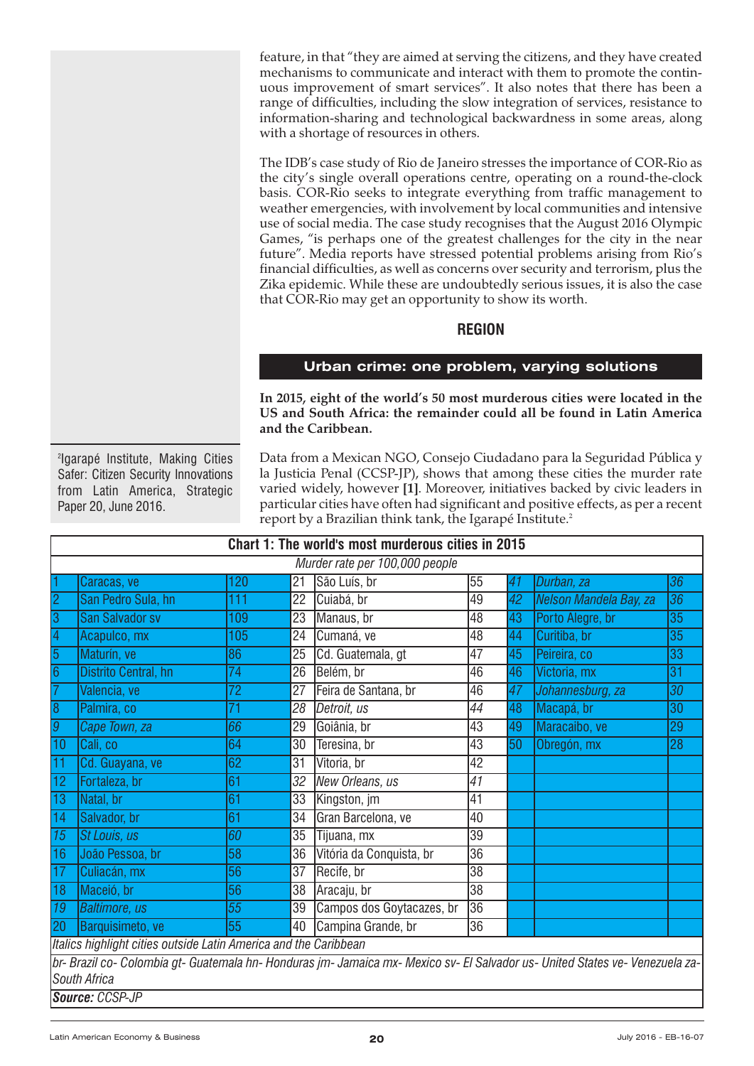<span id="page-19-0"></span>feature, in that "they are aimed at serving the citizens, and they have created mechanisms to communicate and interact with them to promote the continuous improvement of smart services". It also notes that there has been a range of difficulties, including the slow integration of services, resistance to information-sharing and technological backwardness in some areas, along with a shortage of resources in others.

The IDB's case study of Rio de Janeiro stresses the importance of COR-Rio as the city's single overall operations centre, operating on a round-the-clock basis. COR-Rio seeks to integrate everything from traffic management to weather emergencies, with involvement by local communities and intensive use of social media. The case study recognises that the August 2016 Olympic Games, "is perhaps one of the greatest challenges for the city in the near future". Media reports have stressed potential problems arising from Rio's financial difficulties, as well as concerns over security and terrorism, plus the Zika epidemic. While these are undoubtedly serious issues, it is also the case that COR-Rio may get an opportunity to show its worth.

# **REGION**

# **Urban crime: one problem, varying solutions**

**In 2015, eight of the world's 50 most murderous cities were located in the US and South Africa: the remainder could all be found in Latin America and the Caribbean.**

2 Igarapé Institute, Making Cities Safer: Citizen Security Innovations from Latin America, Strategic Paper 20, June 2016.

Data from a Mexican NGO, Consejo Ciudadano para la Seguridad Pública y la Justicia Penal (CCSP-JP), shows that among these cities the murder rate varied widely, however **[1]**. Moreover, initiatives backed by civic leaders in particular cities have often had significant and positive effects, as per a recent report by a Brazilian think tank, the Igarapé Institute. 2

| Chart 1: The world's most murderous cities in 2015                                                                            |                        |                 |                 |                           |                 |    |                        |                 |
|-------------------------------------------------------------------------------------------------------------------------------|------------------------|-----------------|-----------------|---------------------------|-----------------|----|------------------------|-----------------|
| Murder rate per 100,000 people                                                                                                |                        |                 |                 |                           |                 |    |                        |                 |
| 1                                                                                                                             | Caracas, ve            | 120             | 21              | São Luís, br              | 55              | 41 | Durban, za             | 36              |
| $\overline{2}$                                                                                                                | San Pedro Sula, hn     | 111             | 22              | Cuiabá, br                | 49              | 42 | Nelson Mandela Bay, za | $\overline{36}$ |
| $\overline{3}$                                                                                                                | <b>San Salvador sv</b> | 109             | 23              | Manaus, br                | 48              | 43 | Porto Alegre, br       | 35              |
| $\vert 4$                                                                                                                     | Acapulco, mx           | 105             | $\overline{24}$ | Cumaná, ve                | 48              | 44 | Curitiba, br           | $\overline{35}$ |
| $\overline{5}$                                                                                                                | Maturín, ve            | 86              | 25              | Cd. Guatemala, gt         | 47              | 45 | Peireira, co           | 33              |
| $\overline{6}$                                                                                                                | Distrito Central, hn   | 74              | 26              | Belém, br                 | 46              | 46 | Victoria, mx           | 31              |
| $\overline{7}$                                                                                                                | Valencia, ve           | 72              | 27              | Feira de Santana, br      | 46              | 47 | Johannesburg, za       | 30              |
| $\overline{8}$                                                                                                                | Palmira, co            | $\overline{71}$ | $\overline{28}$ | Detroit, us               | 44              | 48 | Macapá, br             | $\overline{30}$ |
| $\overline{g}$                                                                                                                | Cape Town, za          | $\overline{66}$ | 29              | Goiânia, br               | 43              | 49 | Maracaibo, ve          | 29              |
| $\overline{10}$                                                                                                               | Cali, co               | 64              | 30              | Teresina, br              | 43              | 50 | Obregón, mx            | $\overline{28}$ |
| 11                                                                                                                            | Cd. Guayana, ve        | 62              | 31              | Vitoria, br               | 42              |    |                        |                 |
| $\overline{12}$                                                                                                               | Fortaleza, br          | 61              | 32              | New Orleans, us           | $\overline{41}$ |    |                        |                 |
| $\overline{13}$                                                                                                               | Natal, br              | 61              | 33              | Kingston, jm              | 41              |    |                        |                 |
| $\overline{14}$                                                                                                               | Salvador, br           | 61              | $\overline{34}$ | Gran Barcelona, ve        | 40              |    |                        |                 |
| $\sqrt{15}$                                                                                                                   | St Louis, us           | 60              | 35              | Tijuana, mx               | 39              |    |                        |                 |
| $\overline{16}$                                                                                                               | João Pessoa, br        | 58              | 36              | Vitória da Conquista, br  | $\overline{36}$ |    |                        |                 |
| $\overline{17}$                                                                                                               | Culiacán, mx           | 56              | 37              | Recife, br                | $\overline{38}$ |    |                        |                 |
| 18                                                                                                                            | Maceió, br             | 56              | 38              | Aracaju, br               | $\overline{38}$ |    |                        |                 |
| $\overline{19}$                                                                                                               | <b>Baltimore</b> , us  | $\overline{55}$ | 39              | Campos dos Goytacazes, br | 36              |    |                        |                 |
| $\overline{20}$                                                                                                               | Barquisimeto, ve       | 55              | 40              | Campina Grande, br        | 36              |    |                        |                 |
| Italics highlight cities outside Latin America and the Caribbean                                                              |                        |                 |                 |                           |                 |    |                        |                 |
| br- Brazil co- Colombia gt- Guatemala hn- Honduras jm- Jamaica mx- Mexico sv- El Salvador us- United States ve- Venezuela za- |                        |                 |                 |                           |                 |    |                        |                 |

*South Africa Source: CCSP-JP*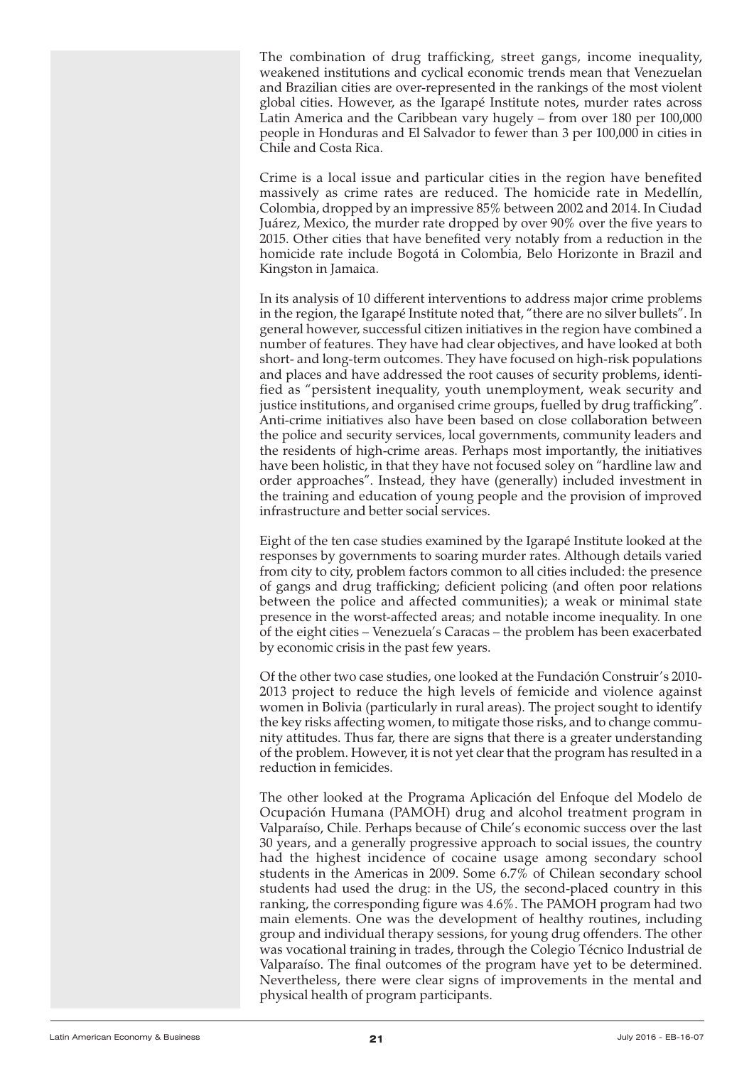The combination of drug trafficking, street gangs, income inequality, weakened institutions and cyclical economic trends mean that Venezuelan and Brazilian cities are over-represented in the rankings of the most violent global cities. However, as the Igarapé Institute notes, murder rates across Latin America and the Caribbean vary hugely – from over 180 per 100,000 people in Honduras and El Salvador to fewer than 3 per 100,000 in cities in Chile and Costa Rica.

Crime is a local issue and particular cities in the region have benefited massively as crime rates are reduced. The homicide rate in Medellín, Colombia, dropped by an impressive 85% between 2002 and 2014. In Ciudad Juárez, Mexico, the murder rate dropped by over 90% over the five years to 2015. Other cities that have benefited very notably from a reduction in the homicide rate include Bogotá in Colombia, Belo Horizonte in Brazil and Kingston in Jamaica.

In its analysis of 10 different interventions to address major crime problems in the region, the Igarapé Institute noted that, "there are no silver bullets". In general however, successful citizen initiatives in the region have combined a number of features. They have had clear objectives, and have looked at both short- and long-term outcomes. They have focused on high-risk populations and places and have addressed the root causes of security problems, identified as "persistent inequality, youth unemployment, weak security and justice institutions, and organised crime groups, fuelled by drug trafficking". Anti-crime initiatives also have been based on close collaboration between the police and security services, local governments, community leaders and the residents of high-crime areas. Perhaps most importantly, the initiatives have been holistic, in that they have not focused soley on "hardline law and order approaches". Instead, they have (generally) included investment in the training and education of young people and the provision of improved infrastructure and better social services.

Eight of the ten case studies examined by the Igarapé Institute looked at the responses by governments to soaring murder rates. Although details varied from city to city, problem factors common to all cities included: the presence of gangs and drug trafficking; deficient policing (and often poor relations between the police and affected communities); a weak or minimal state presence in the worst-affected areas; and notable income inequality. In one of the eight cities – Venezuela's Caracas – the problem has been exacerbated by economic crisis in the past few years.

Of the other two case studies, one looked at the Fundación Construir's 2010- 2013 project to reduce the high levels of femicide and violence against women in Bolivia (particularly in rural areas). The project sought to identify the key risks affecting women, to mitigate those risks, and to change community attitudes. Thus far, there are signs that there is a greater understanding of the problem. However, it is not yet clear that the program has resulted in a reduction in femicides.

The other looked at the Programa Aplicación del Enfoque del Modelo de Ocupación Humana (PAMOH) drug and alcohol treatment program in Valparaíso, Chile. Perhaps because of Chile's economic success over the last 30 years, and a generally progressive approach to social issues, the country had the highest incidence of cocaine usage among secondary school students in the Americas in 2009. Some 6.7% of Chilean secondary school students had used the drug: in the US, the second-placed country in this ranking, the corresponding figure was 4.6%. The PAMOH program had two main elements. One was the development of healthy routines, including group and individual therapy sessions, for young drug offenders. The other was vocational training in trades, through the Colegio Técnico Industrial de Valparaíso. The final outcomes of the program have yet to be determined. Nevertheless, there were clear signs of improvements in the mental and physical health of program participants.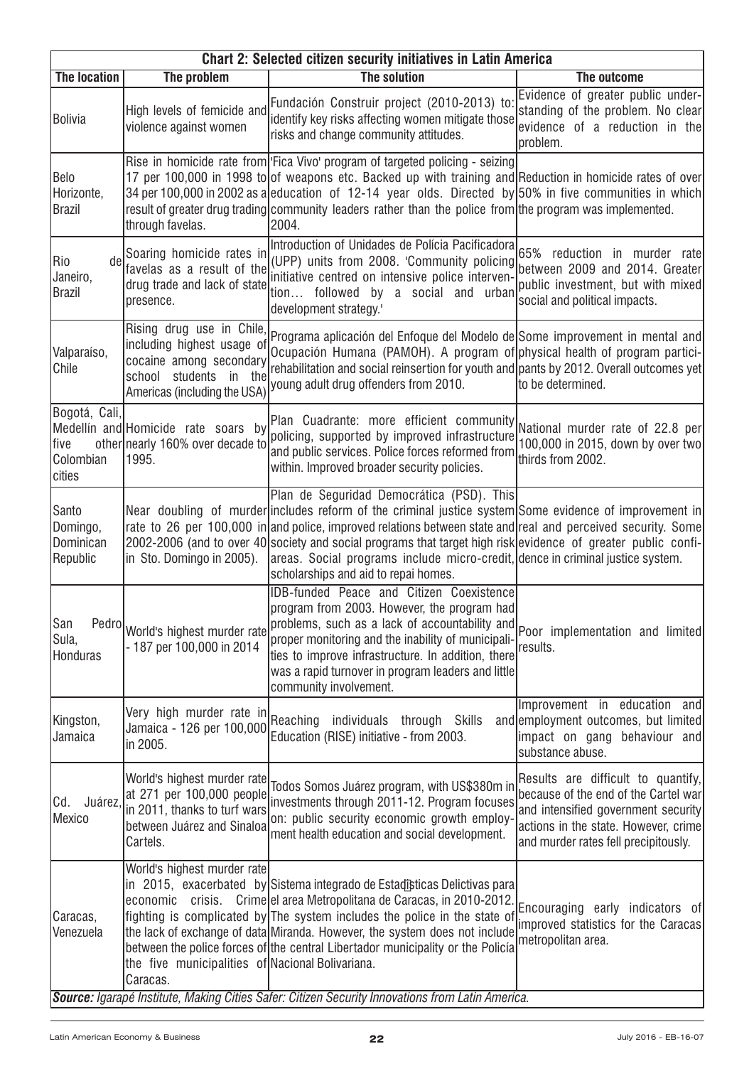| <b>Chart 2: Selected citizen security initiatives in Latin America</b> |                                                                                                                                    |                                                                                                                                                                                                                                                                                                                                                                                                                                                                                                                |                                                                                                                                                                                                   |  |  |  |  |
|------------------------------------------------------------------------|------------------------------------------------------------------------------------------------------------------------------------|----------------------------------------------------------------------------------------------------------------------------------------------------------------------------------------------------------------------------------------------------------------------------------------------------------------------------------------------------------------------------------------------------------------------------------------------------------------------------------------------------------------|---------------------------------------------------------------------------------------------------------------------------------------------------------------------------------------------------|--|--|--|--|
| <b>The location</b>                                                    | The problem                                                                                                                        | The solution                                                                                                                                                                                                                                                                                                                                                                                                                                                                                                   | The outcome                                                                                                                                                                                       |  |  |  |  |
| Bolivia                                                                | High levels of femicide and<br>violence against women                                                                              | Fundación Construir project (2010-2013) to:<br>identify key risks affecting women mitigate those<br>risks and change community attitudes.                                                                                                                                                                                                                                                                                                                                                                      | Evidence of greater public under-<br>standing of the problem. No clear<br>evidence of a reduction in the<br>problem.                                                                              |  |  |  |  |
| Belo<br>Horizonte,<br>Brazil                                           | through favelas.                                                                                                                   | Rise in homicide rate from Fica Vivo' program of targeted policing - seizing<br>17 per 100,000 in 1998 to of weapons etc. Backed up with training and Reduction in homicide rates of over<br>34 per 100,000 in 2002 as a leducation of 12-14 year olds. Directed by 50% in five communities in which<br>result of greater drug trading community leaders rather than the police from the program was implemented.<br>2004.                                                                                     |                                                                                                                                                                                                   |  |  |  |  |
| de<br>Rio<br>Janeiro,<br><b>Brazil</b>                                 | Soaring homicide rates in<br>favelas as a result of the<br>drug trade and lack of state<br>presence.                               | Introduction of Unidades de Polícia Pacificadora<br>(UPP) units from 2008. 'Community policing<br>initiative centred on intensive police interven-<br>tion followed by a social and urban<br>development strategy.'                                                                                                                                                                                                                                                                                            | 65% reduction in murder rate<br>between 2009 and 2014. Greater<br>public investment, but with mixed<br>social and political impacts.                                                              |  |  |  |  |
| Valparaíso,<br>Chile                                                   | including highest usage of<br>cocaine among secondary<br>school students<br>in the<br>Americas (including the USA)                 | Rising drug use in Chile, Programa aplicación del Enfoque del Modelo de Some improvement in mental and<br>Ocupación Humana (PAMOH). A program of physical health of program partici-<br>rehabilitation and social reinsertion for youth and pants by 2012. Overall outcomes yet<br>young adult drug offenders from 2010.                                                                                                                                                                                       | to be determined.                                                                                                                                                                                 |  |  |  |  |
| Bogotá, Cali,<br> five<br>Colombian<br>cities                          | Medellín and Homicide rate soars by<br>other nearly 160% over decade to<br>1995.                                                   | $\vert$ Plan Cuadrante: more efficient community $\vert$ National murder rate of 22.8 per $\vert$<br>policing, supported by improved infrastructure<br>and public services. Police forces reformed from<br>within. Improved broader security policies.                                                                                                                                                                                                                                                         | 100,000 in 2015, down by over two<br>thirds from 2002.                                                                                                                                            |  |  |  |  |
| Santo<br>Domingo,<br>Dominican<br>Republic                             | in Sto. Domingo in 2005).                                                                                                          | Plan de Seguridad Democrática (PSD). This<br>Near doubling of murder includes reform of the criminal justice system Some evidence of improvement in<br>rate to 26 per 100,000 in and police, improved relations between state and real and perceived security. Some<br>2002-2006 (and to over 40 society and social programs that target high risk evidence of greater public confi-<br>areas. Social programs include micro-credit, dence in criminal justice system.<br>scholarships and aid to repai homes. |                                                                                                                                                                                                   |  |  |  |  |
| San<br>Sula,<br>Honduras                                               | Pedro World's highest murder rate<br>- 187 per 100,000 in 2014                                                                     | <b>IDB-funded Peace and Citizen Coexistence</b><br>program from 2003. However, the program had<br>problems, such as a lack of accountability and Poor implementation and limited<br>proper monitoring and the inability of municipali-<br>ties to improve infrastructure. In addition, there<br>was a rapid turnover in program leaders and little<br>community involvement.                                                                                                                                   | results.                                                                                                                                                                                          |  |  |  |  |
| Kingston,<br>Jamaica                                                   | Very high murder rate in<br>Jamaica - 126 per 100,000<br>in 2005.                                                                  | Reaching<br>individuals through Skills<br>Education (RISE) initiative - from 2003.                                                                                                                                                                                                                                                                                                                                                                                                                             | Improvement in education<br>and<br>and employment outcomes, but limited<br>impact on gang behaviour and<br>substance abuse.                                                                       |  |  |  |  |
| Juárez,<br>Cd.<br>Mexico                                               | World's highest murder rate<br>at 271 per 100,000 people<br>in 2011, thanks to turf wars<br>between Juárez and Sinaloa<br>Cartels. | Todos Somos Juárez program, with US\$380m in<br>investments through 2011-12. Program focuses<br>on: public security economic growth employ-<br>ment health education and social development.                                                                                                                                                                                                                                                                                                                   | Results are difficult to quantify,<br>because of the end of the Cartel war<br>and intensified government security<br>actions in the state. However, crime<br>and murder rates fell precipitously. |  |  |  |  |
| Caracas,<br>Venezuela                                                  | World's highest murder rate<br>the five municipalities of Nacional Bolivariana.<br>Caracas.                                        | in 2015, exacerbated by Sistema integrado de Estadisticas Delictivas para<br>economic crisis. Crime el area Metropolitana de Caracas, in 2010-2012.<br>fighting is complicated by The system includes the police in the state of<br>the lack of exchange of data Miranda. However, the system does not include<br>between the police forces of the central Libertador municipality or the Policía<br>Source: Igarapé Institute, Making Cities Safer: Citizen Security Innovations from Latin America.          | Encouraging early indicators of<br>improved statistics for the Caracas<br>metropolitan area.                                                                                                      |  |  |  |  |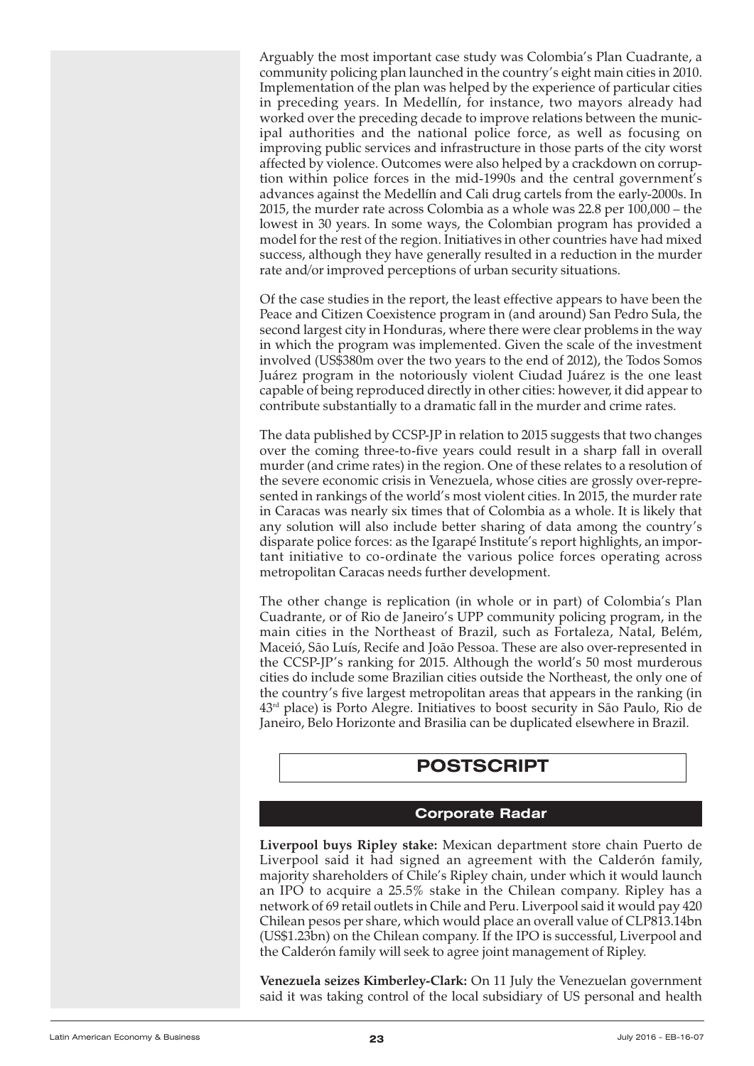<span id="page-22-0"></span>Arguably the most important case study was Colombia's Plan Cuadrante, a community policing plan launched in the country's eight main cities in 2010. Implementation of the plan was helped by the experience of particular cities in preceding years. In Medellín, for instance, two mayors already had worked over the preceding decade to improve relations between the municipal authorities and the national police force, as well as focusing on improving public services and infrastructure in those parts of the city worst affected by violence. Outcomes were also helped by a crackdown on corruption within police forces in the mid-1990s and the central government's advances against the Medellín and Cali drug cartels from the early-2000s. In 2015, the murder rate across Colombia as a whole was 22.8 per 100,000 – the lowest in 30 years. In some ways, the Colombian program has provided a model for the rest of the region. Initiatives in other countries have had mixed success, although they have generally resulted in a reduction in the murder rate and/or improved perceptions of urban security situations.

Of the case studies in the report, the least effective appears to have been the Peace and Citizen Coexistence program in (and around) San Pedro Sula, the second largest city in Honduras, where there were clear problems in the way in which the program was implemented. Given the scale of the investment involved (US\$380m over the two years to the end of 2012), the Todos Somos Juárez program in the notoriously violent Ciudad Juárez is the one least capable of being reproduced directly in other cities: however, it did appear to contribute substantially to a dramatic fall in the murder and crime rates.

The data published by CCSP-JP in relation to 2015 suggests that two changes over the coming three-to-five years could result in a sharp fall in overall murder (and crime rates) in the region. One of these relates to a resolution of the severe economic crisis in Venezuela, whose cities are grossly over-represented in rankings of the world's most violent cities. In 2015, the murder rate in Caracas was nearly six times that of Colombia as a whole. It is likely that any solution will also include better sharing of data among the country's disparate police forces: as the Igarapé Institute's report highlights, an important initiative to co-ordinate the various police forces operating across metropolitan Caracas needs further development.

The other change is replication (in whole or in part) of Colombia's Plan Cuadrante, or of Rio de Janeiro's UPP community policing program, in the main cities in the Northeast of Brazil, such as Fortaleza, Natal, Belém, Maceió, São Luís, Recife and João Pessoa. These are also over-represented in the CCSP-JP's ranking for 2015. Although the world's 50 most murderous cities do include some Brazilian cities outside the Northeast, the only one of the country's five largest metropolitan areas that appears in the ranking (in 43rd place) is Porto Alegre. Initiatives to boost security in São Paulo, Rio de Janeiro, Belo Horizonte and Brasilia can be duplicated elsewhere in Brazil.

# **POSTSCRIPT**

# **Corporate Radar**

**Liverpool buys Ripley stake:** Mexican department store chain Puerto de Liverpool said it had signed an agreement with the Calderón family, majority shareholders of Chile's Ripley chain, under which it would launch an IPO to acquire a 25.5% stake in the Chilean company. Ripley has a network of 69 retail outlets in Chile and Peru. Liverpool said it would pay 420 Chilean pesos per share, which would place an overall value of CLP813.14bn (US\$1.23bn) on the Chilean company. If the IPO is successful, Liverpool and the Calderón family will seek to agree joint management of Ripley.

**Venezuela seizes Kimberley-Clark:** On 11 July the Venezuelan government said it was taking control of the local subsidiary of US personal and health